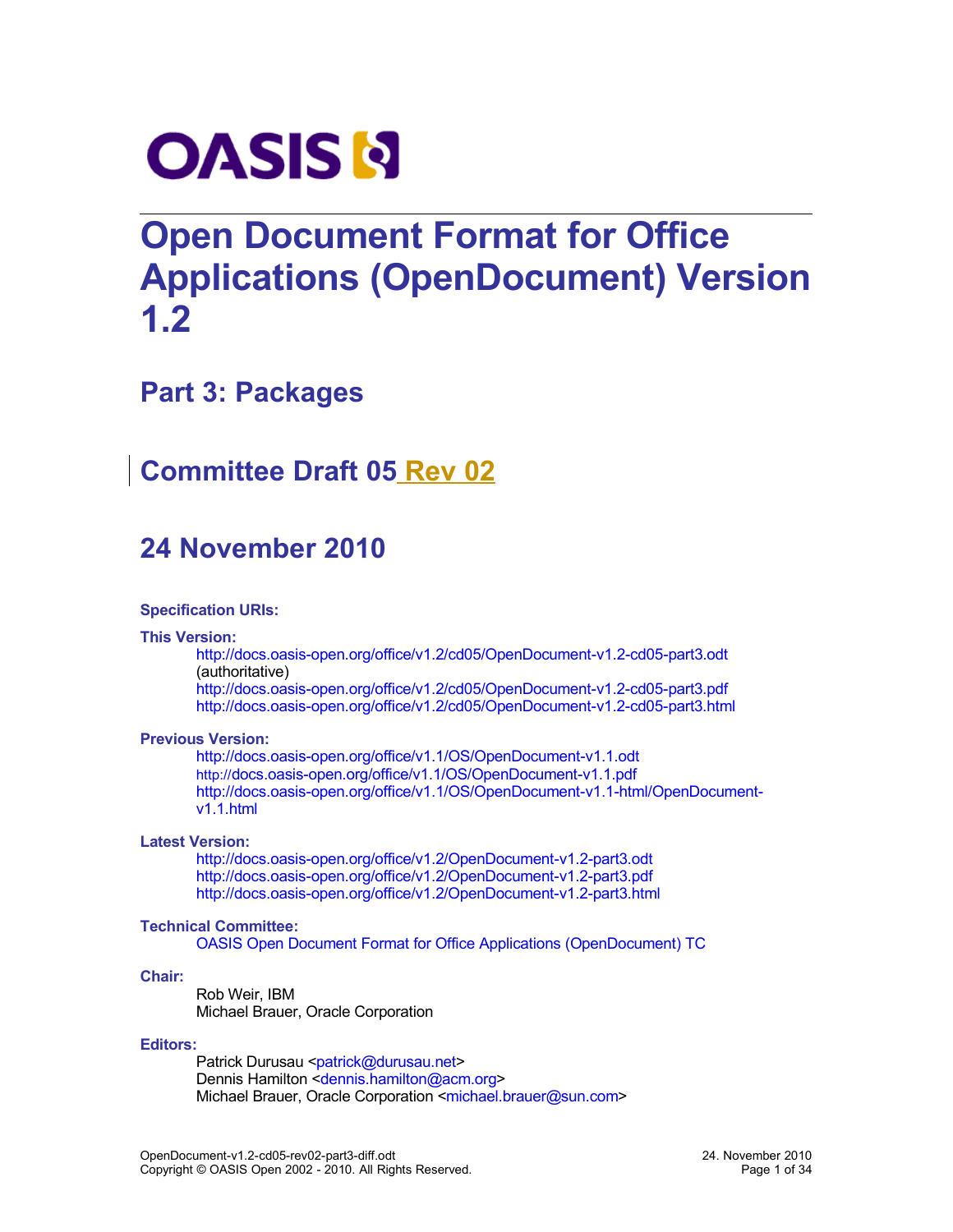

# **Open Document Format for Office Applications (OpenDocument) Version 1.2**

## **Part 3: Packages**

# **Committee Draft 05 Rev 02**

# **24 November 2010**

#### **Specification URIs:**

#### **This Version:**

[http://docs.oasis-open.org/office/v1.2/cd05/OpenDocument-v1.2-cd05-part3.odt](http://docs.oasis-open.org/office/v1.2/cd05/OpenDocument-v1.2-cd05-part3.pdf) (authoritative)

<http://docs.oasis-open.org/office/v1.2/cd05/OpenDocument-v1.2-cd05-part3.pdf> <http://docs.oasis-open.org/office/v1.2/cd05/OpenDocument-v1.2-cd05-part3.html>

#### **Previous Version:**

[http://docs.oasis-open.org/office/v1.1/OS/OpenDocument-v1.1.odt](http://docs.oasis-open.org/office/v1.1/OS/OpenDocument-v1.1.pdf) [http://](http://docs.oasis-open.org/office/v1.1/OS/OpenDocument-v1.1.pdf)[docs.oasis-open.org/office/v1.1/OS/OpenDocument-v1.1.pdf](http://docs.oasis-open.org/office/v1.1/OS/OpenDocument-v1.1.pdf) [http://docs.oasis-open.org/office/v1.1/OS/OpenDocument-v1.1-html/OpenDocument](http://docs.oasis-open.org/office/v1.1/OS/OpenDocument-v1.1-html/OpenDocument-v1.1.html)[v1.1.html](http://docs.oasis-open.org/office/v1.1/OS/OpenDocument-v1.1-html/OpenDocument-v1.1.html)

#### **Latest Version:**

[http://docs.oasis-open.org/office/v1.2/OpenDocument-v1.2-part3.odt](http://docs.oasis-open.org/office/v1.2/OpenDocument-v1.2-part3.pdf) <http://docs.oasis-open.org/office/v1.2/OpenDocument-v1.2-part3.pdf> <http://docs.oasis-open.org/office/v1.2/OpenDocument-v1.2-part3.html>

#### **Technical Committee:**

[OASIS Open Document Format for Office Applications \(OpenDocument\) TC](http://www.oasis-open.org/committees/tc_home.php?wg_abbrev=office)

#### **Chair:**

Rob Weir, IBM Michael Brauer, Oracle Corporation

#### **Editors:**

Patrick Durusau [<patrick@durusau.net>](mailto:patrick@durusau.net) Dennis Hamilton [<dennis.hamilton@acm.org>](mailto:dennis.hamilton@acm.org) Michael Brauer, Oracle Corporation [<michael.brauer@sun.com>](mailto:michael.brauer@sun.com)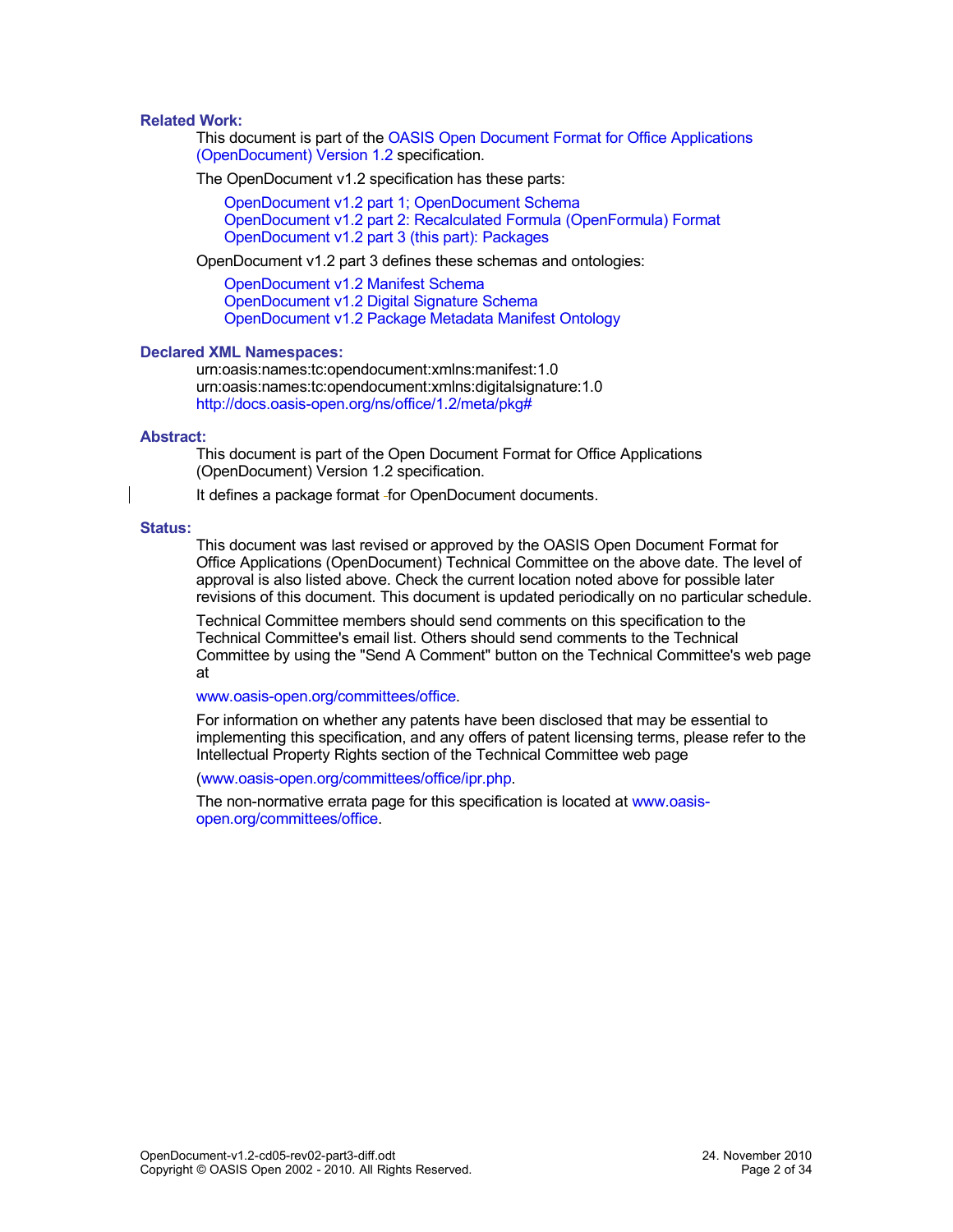#### <span id="page-1-0"></span>**Related Work:**

This document is part of the [OASIS Open Document Format for Office Applications](http://docs.oasis-open.org/office/v1.2/cd05/OpenDocument-v1.2-cd05.pdf) [\(OpenDocument\) Version 1.2](http://docs.oasis-open.org/office/v1.2/cd05/OpenDocument-v1.2-cd05.pdf) specification.

The OpenDocument v1.2 specification has these parts:

[OpenDocument v1.2 part 1; OpenDocument Schema](http://docs.oasis-open.org/office/v1.2/cd05/OpenDocument-v1.2-cd05-part1.pdf) [OpenDocument v1.2 part 2: Recalculated Formula \(OpenFormula\) Format](http://docs.oasis-open.org/office/v1.2/cd05/OpenDocument-v1.2-cd05-part2.pdf) [OpenDocument v1.2 part 3 \(this part\): Packages](http://docs.oasis-open.org/office/v1.2/cd05/OpenDocument-v1.2-cd05-part3.pdf)

OpenDocument v1.2 part 3 defines these schemas and ontologies:

[OpenDocument v1.2 Manifest Schema](http://docs.oasis-open.org/office/v1.2/cd05/OpenDocument-v1.2-cd05-manifest-schema.rng) [OpenDocument v1.2 Digital Signature Schema](http://docs.oasis-open.org/office/v1.2/cd05/OpenDocument-v1.2-cd05-dsig-schema.rng) [OpenDocument v1.2 Package Metadata Manifest Ontology](http://docs.oasis-open.org/office/v1.2/cd05/OpenDocument-v1.2-cd05-package-metadata.owl)

#### **Declared XML Namespaces:**

urn:oasis:names:tc:opendocument:xmlns:manifest:1.0 urn:oasis:names:tc:opendocument:xmlns:digitalsignature:1.0 <http://docs.oasis-open.org/ns/office/1.2/meta/pkg#>

#### **Abstract:**

This document is part of the Open Document Format for Office Applications (OpenDocument) Version 1.2 specification.

It defines a package format - for OpenDocument documents.

#### **Status:**

This document was last revised or approved by the OASIS Open Document Format for Office Applications (OpenDocument) Technical Committee on the above date. The level of approval is also listed above. Check the current location noted above for possible later revisions of this document. This document is updated periodically on no particular schedule.

Technical Committee members should send comments on this specification to the Technical Committee's email list. Others should send comments to the Technical Committee by using the "Send A Comment" button on the Technical Committee's web page at

#### [www.oasis-open.org/committees/office.](http://www.oasis-open.org/committees/office)

For information on whether any patents have been disclosed that may be essential to implementing this specification, and any offers of patent licensing terms, please refer to the Intellectual Property Rights section of the Technical Committee web page

[\(www.oasis-open.org/committees/office/ipr.php.](http://www.oasis-open.org/committees/office/ipr.php)

The non-normative errata page for this specification is located at [www.oasis](http://www.oasis-open.org/committees/office)[open.org/committees/office.](http://www.oasis-open.org/committees/office)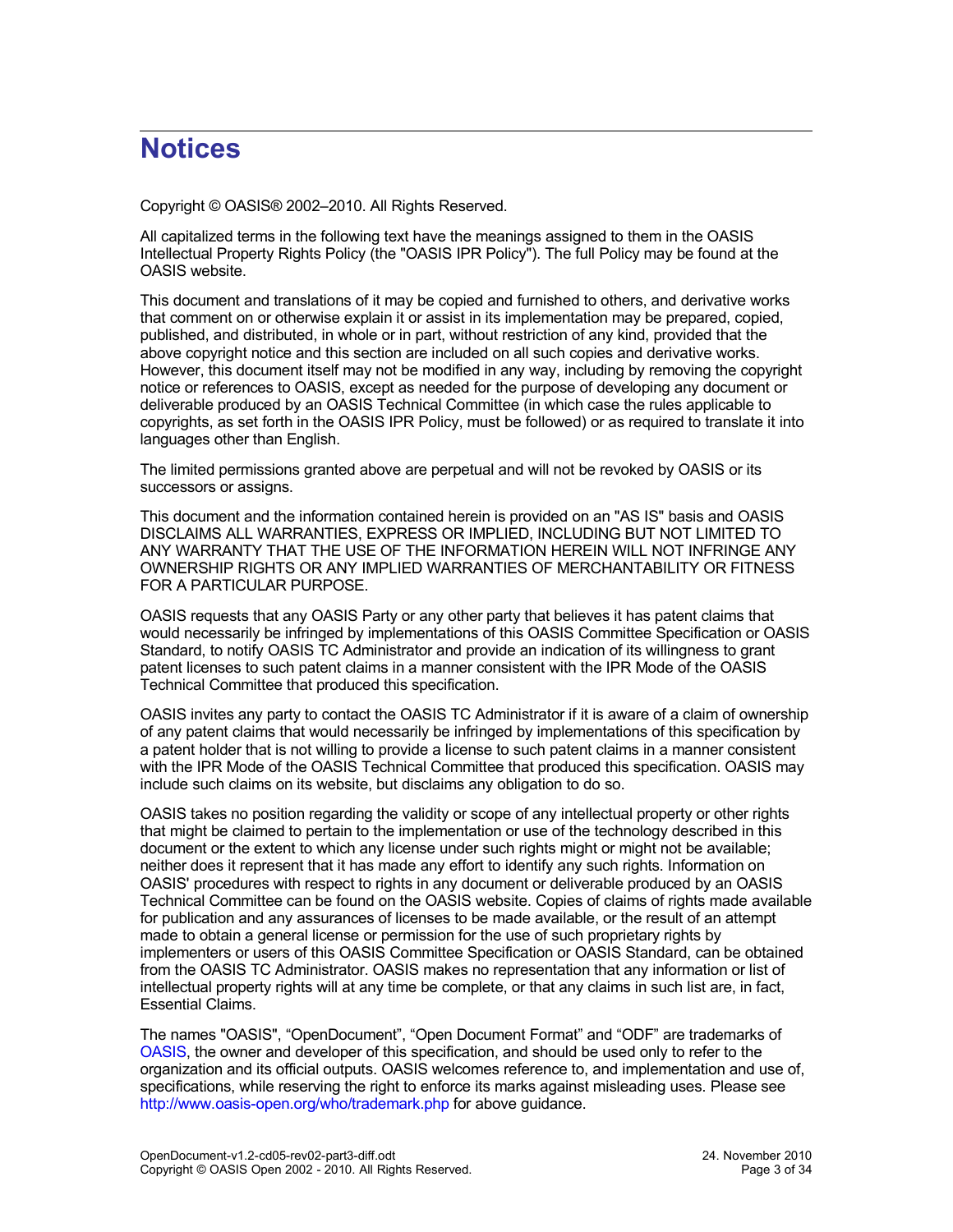# **Notices**

Copyright © OASIS® 2002–2010. All Rights Reserved.

All capitalized terms in the following text have the meanings assigned to them in the OASIS Intellectual Property Rights Policy (the "OASIS IPR Policy"). The full Policy may be found at the OASIS website.

This document and translations of it may be copied and furnished to others, and derivative works that comment on or otherwise explain it or assist in its implementation may be prepared, copied, published, and distributed, in whole or in part, without restriction of any kind, provided that the above copyright notice and this section are included on all such copies and derivative works. However, this document itself may not be modified in any way, including by removing the copyright notice or references to OASIS, except as needed for the purpose of developing any document or deliverable produced by an OASIS Technical Committee (in which case the rules applicable to copyrights, as set forth in the OASIS IPR Policy, must be followed) or as required to translate it into languages other than English.

The limited permissions granted above are perpetual and will not be revoked by OASIS or its successors or assigns.

This document and the information contained herein is provided on an "AS IS" basis and OASIS DISCLAIMS ALL WARRANTIES, EXPRESS OR IMPLIED, INCLUDING BUT NOT LIMITED TO ANY WARRANTY THAT THE USE OF THE INFORMATION HEREIN WILL NOT INFRINGE ANY OWNERSHIP RIGHTS OR ANY IMPLIED WARRANTIES OF MERCHANTABILITY OR FITNESS FOR A PARTICULAR PURPOSE.

OASIS requests that any OASIS Party or any other party that believes it has patent claims that would necessarily be infringed by implementations of this OASIS Committee Specification or OASIS Standard, to notify OASIS TC Administrator and provide an indication of its willingness to grant patent licenses to such patent claims in a manner consistent with the IPR Mode of the OASIS Technical Committee that produced this specification.

OASIS invites any party to contact the OASIS TC Administrator if it is aware of a claim of ownership of any patent claims that would necessarily be infringed by implementations of this specification by a patent holder that is not willing to provide a license to such patent claims in a manner consistent with the IPR Mode of the OASIS Technical Committee that produced this specification. OASIS may include such claims on its website, but disclaims any obligation to do so.

OASIS takes no position regarding the validity or scope of any intellectual property or other rights that might be claimed to pertain to the implementation or use of the technology described in this document or the extent to which any license under such rights might or might not be available; neither does it represent that it has made any effort to identify any such rights. Information on OASIS' procedures with respect to rights in any document or deliverable produced by an OASIS Technical Committee can be found on the OASIS website. Copies of claims of rights made available for publication and any assurances of licenses to be made available, or the result of an attempt made to obtain a general license or permission for the use of such proprietary rights by implementers or users of this OASIS Committee Specification or OASIS Standard, can be obtained from the OASIS TC Administrator. OASIS makes no representation that any information or list of intellectual property rights will at any time be complete, or that any claims in such list are, in fact, Essential Claims.

The names "OASIS", "OpenDocument", "Open Document Format" and "ODF" are trademarks of [OASIS,](http://www.oasis-open.org/) the owner and developer of this specification, and should be used only to refer to the organization and its official outputs. OASIS welcomes reference to, and implementation and use of, specifications, while reserving the right to enforce its marks against misleading uses. Please see <http://www.oasis-open.org/who/trademark.php>for above guidance.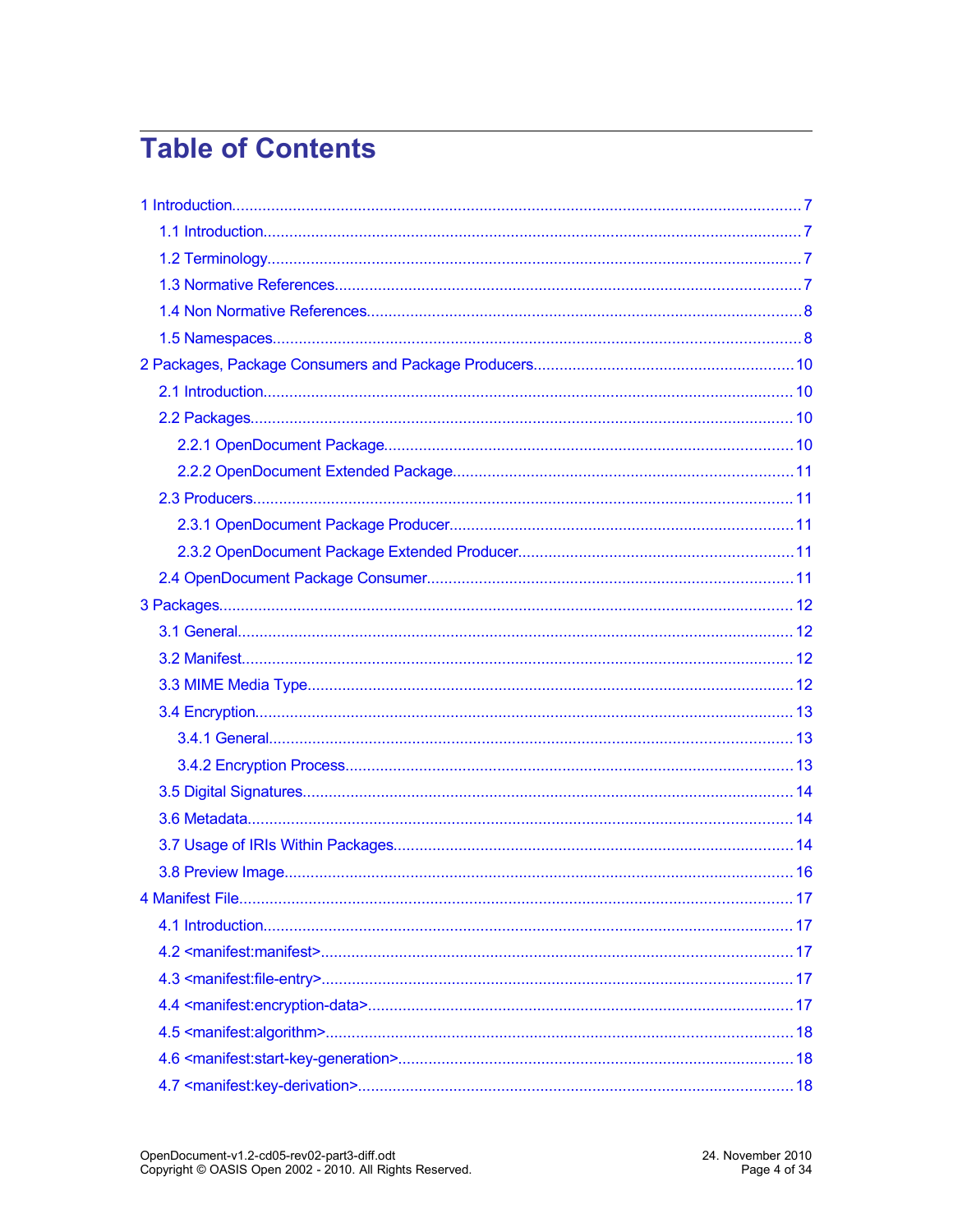# **Table of Contents**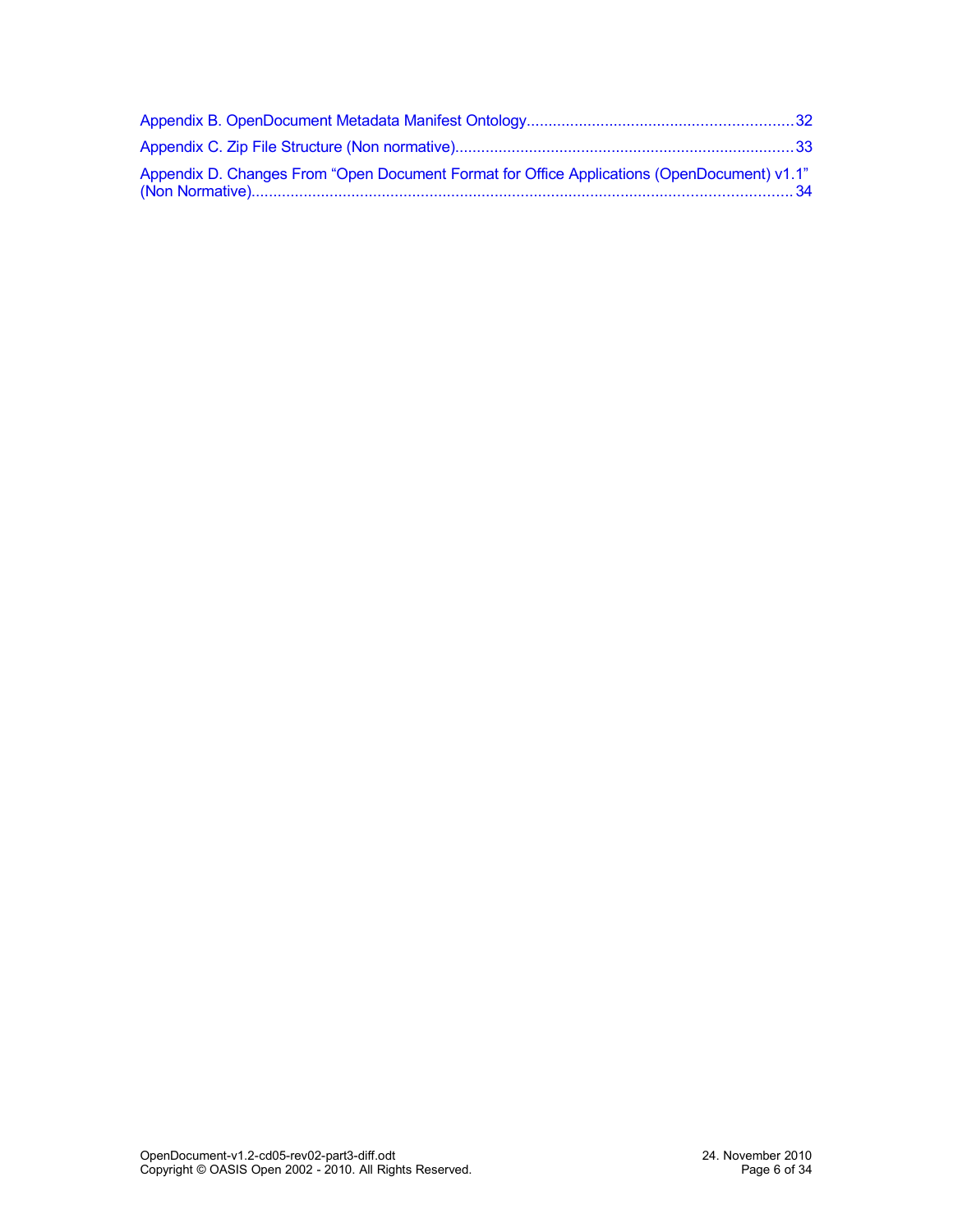| "Appendix D. Changes From "Open Document Format for Office Applications (OpenDocument) v1.1 |  |
|---------------------------------------------------------------------------------------------|--|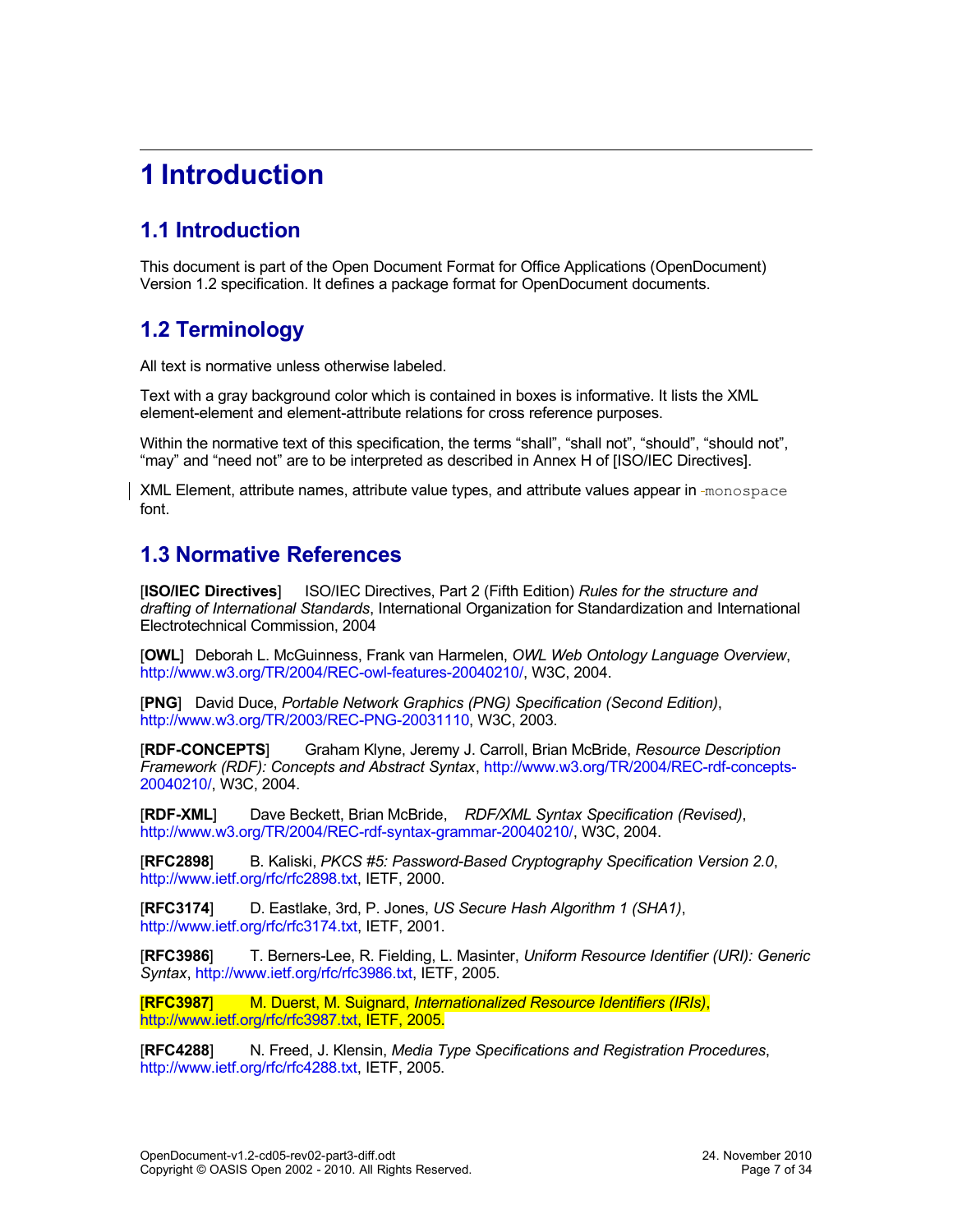# <span id="page-6-3"></span>**1 Introduction**

## <span id="page-6-2"></span>**1.1 Introduction**

This document is part of the Open Document Format for Office Applications (OpenDocument) Version 1.2 specification. It defines a package format for OpenDocument documents.

### <span id="page-6-1"></span>**1.2 Terminology**

All text is normative unless otherwise labeled.

Text with a gray background color which is contained in boxes is informative. It lists the XML element-element and element-attribute relations for cross reference purposes.

Within the normative text of this specification, the terms "shall", "shall not", "should", "should not", "may" and "need not" are to be interpreted as described in Annex H of [ISO/IEC Directives].

XML Element, attribute names, attribute value types, and attribute values appear in -monospace font.

### <span id="page-6-0"></span>**1.3 Normative References**

[**ISO/IEC Directives**] ISO/IEC Directives, Part 2 (Fifth Edition) *Rules for the structure and drafting of International Standards*, International Organization for Standardization and International Electrotechnical Commission, 2004

[**OWL**] Deborah L. McGuinness, Frank van Harmelen, *OWL Web Ontology Language Overview*, [http://www.w3.org/TR/2004/REC-owl-features-20040210/,](http://www.w3.org/TR/2004/REC-owl-features-20040210/) W3C, 2004.

[**PNG**] David Duce, *Portable Network Graphics (PNG) Specification (Second Edition)*, [http://www.w3.org/TR/2003/REC-PNG-20031110,](http://www.w3.org/TR/2003/REC-PNG-20031110) W3C, 2003.

[**RDF-CONCEPTS**] Graham Klyne, Jeremy J. Carroll, Brian McBride, *Resource Description Framework (RDF): Concepts and Abstract Syntax*, [http://www.w3.org/TR/2004/REC-rdf-concepts-](http://www.w3.org/TR/2004/REC-rdf-concepts-20040210/)[20040210/,](http://www.w3.org/TR/2004/REC-rdf-concepts-20040210/) W3C, 2004.

[**RDF-XML**] Dave Beckett, Brian McBride, *RDF/XML Syntax Specification (Revised)*, [http://www.w3.org/TR/2004/REC-rdf-syntax-grammar-20040210/,](http://www.w3.org/TR/2004/REC-rdf-syntax-grammar-20040210/) W3C, 2004.

[**RFC2898**] B. Kaliski, *PKCS #5: Password-Based Cryptography Specification Version 2.0*, [http://www.ietf.org/rfc/rfc2898.txt,](http://www.ietf.org/rfc/rfc2898.txt) IETF, 2000.

[**RFC3174**] D. Eastlake, 3rd, P. Jones, *US Secure Hash Algorithm 1 (SHA1)*, [http://www.ietf.org/rfc/rfc3174.txt,](http://www.ietf.org/rfc/rfc3174.txt) IETF, 2001.

[**RFC3986**] T. Berners-Lee, R. Fielding, L. Masinter, *Uniform Resource Identifier (URI): Generic Syntax*, [http://www.ietf.org/rfc/rfc3986.txt,](http://www.ietf.org/rfc/rfc3986.txt) IETF, 2005.

[**RFC3987**] M. Duerst, M. Suignard, *Internationalized Resource Identifiers (IRIs)*, [http://www.ietf.org/rfc/rfc3987.txt,](http://www.ietf.org/rfc/rfc3987.txt) IETF, 2005.

[**RFC4288**] N. Freed, J. Klensin, *Media Type Specifications and Registration Procedures*, [http://www.ietf.org/rfc/rfc4288.txt,](http://www.ietf.org/rfc/rfc4288.txt) IETF, 2005.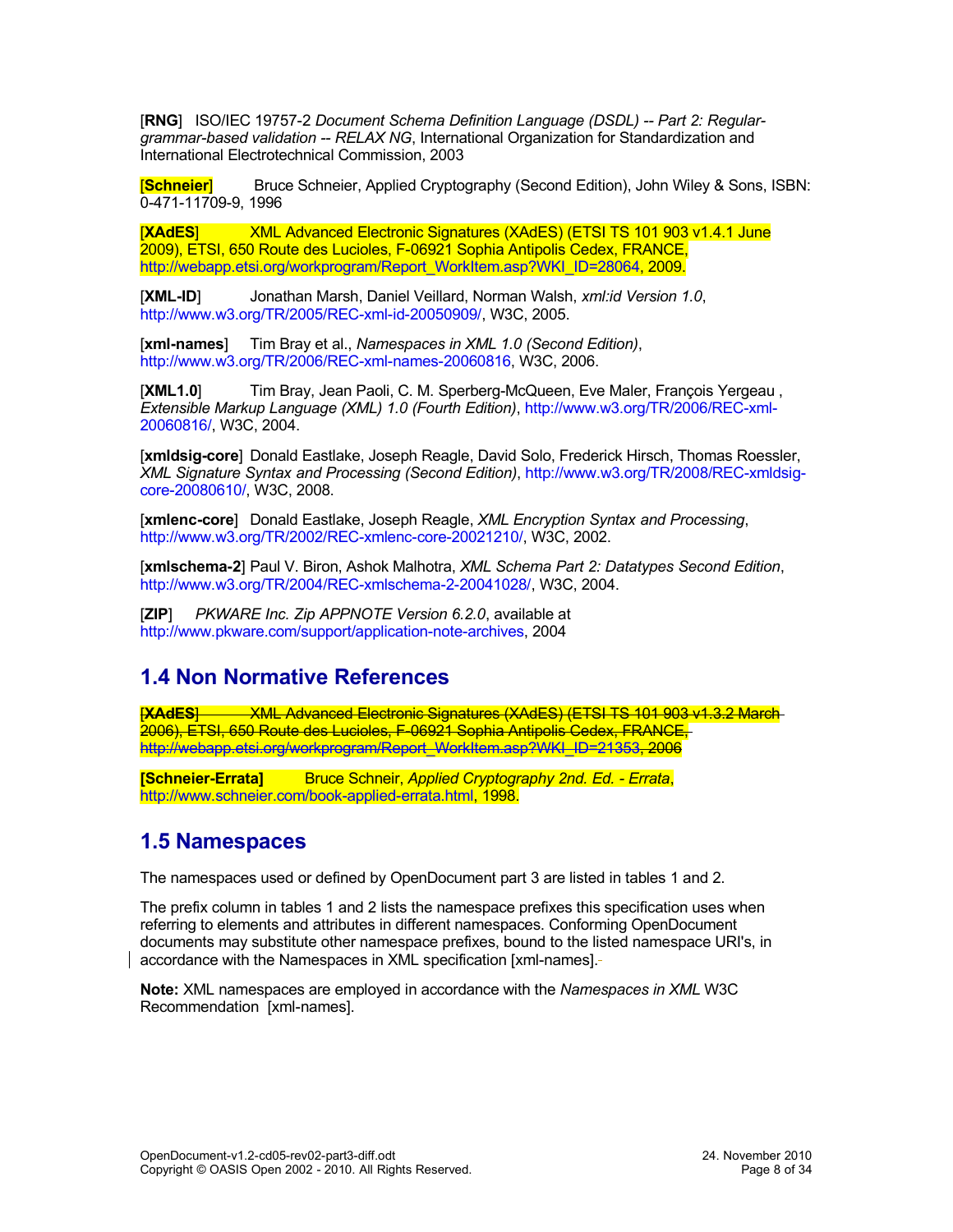[**RNG**] ISO/IEC 19757-2 *Document Schema Definition Language (DSDL) -- Part 2: Regulargrammar-based validation -- RELAX NG*, International Organization for Standardization and International Electrotechnical Commission, 2003

[**Schneier**] Bruce Schneier, Applied Cryptography (Second Edition), John Wiley & Sons, ISBN: 0-471-11709-9, 1996

[**XAdES**] XML Advanced Electronic Signatures (XAdES) (ETSI TS 101 903 v1.4.1 June 2009), ETSI, 650 Route des Lucioles, F-06921 Sophia Antipolis Cedex, FRANCE, [http://webapp.etsi.org/workprogram/Report\\_WorkItem.asp?WKI\\_ID=28064,](http://webapp.etsi.org/workprogram/Report_WorkItem.asp?WKI_ID=28064) 2009.

[**XML-ID**] Jonathan Marsh, Daniel Veillard, Norman Walsh, *xml:id Version 1.0*, [http://www.w3.org/TR/2005/REC-xml-id-20050909/,](http://www.w3.org/TR/2005/REC-xml-id-20050909/) W3C, 2005.

[**xml-names**] Tim Bray et al., *Namespaces in XML 1.0 (Second Edition)*, [http://www.w3.org/TR/2006/REC-xml-names-20060816,](http://www.w3.org/TR/2006/REC-xml-names-20060816) W3C, 2006.

[**XML1.0**] Tim Bray, Jean Paoli, C. M. Sperberg-McQueen, Eve Maler, François Yergeau , *Extensible Markup Language (XML) 1.0 (Fourth Edition)*, [http://www.w3.org/TR/2006/REC-xml-](http://www.w3.org/TR/2006/REC-xml-20060816/)[20060816/,](http://www.w3.org/TR/2006/REC-xml-20060816/) W3C, 2004.

[**xmldsig-core**] Donald Eastlake, Joseph Reagle, David Solo, Frederick Hirsch, Thomas Roessler, *XML Signature Syntax and Processing (Second Edition)*, [http://www.w3.org/TR/2008/REC-xmldsig](http://www.w3.org/TR/2008/REC-xmldsig-core-20080610/)[core-20080610/,](http://www.w3.org/TR/2008/REC-xmldsig-core-20080610/) W3C, 2008.

[**xmlenc-core**] Donald Eastlake, Joseph Reagle, *XML Encryption Syntax and Processing*, [http://www.w3.org/TR/2002/REC-xmlenc-core-20021210/,](http://www.w3.org/TR/2002/REC-xmlenc-core-20021210/) W3C, 2002.

[**xmlschema-2**] Paul V. Biron, Ashok Malhotra, *XML Schema Part 2: Datatypes Second Edition*, [http://www.w3.org/TR/2004/REC-xmlschema-2-20041028/,](http://www.w3.org/TR/2004/REC-xmlschema-2-20041028/) W3C, 2004.

[**ZIP**] *PKWARE Inc. Zip APPNOTE Version 6.2.0*, available at [http://www.pkware.com/support/application-note-archives,](http://www.pkware.com/support/application-note-archives) 2004

### <span id="page-7-1"></span>**1.4 Non Normative References**

**[XAdES**] WAL Advanced Electronic Signatures (XAdES) (ETSI TS 101 903 v1.3.2 March 2006), ETSI, 650 Route des Lucioles, F-06921 Sophia Antipolis Cedex, FRANCE, [http://webapp.etsi.org/workprogram/Report\\_WorkItem.asp?WKI\\_ID=21353,](http://webapp.etsi.org/workprogram/Report_WorkItem.asp?WKI_ID=21353) 2006

**[Schneier-Errata]** Bruce Schneir, *Applied Cryptography 2nd. Ed. - Errata*, [http://www.schneier.com/book-applied-errata.html,](http://www.schneier.com/book-applied-errata.html) 1998.

### <span id="page-7-0"></span>**1.5 Namespaces**

The namespaces used or defined by OpenDocument part 3 are listed in tables 1 and 2.

The prefix column in tables 1 and 2 lists the namespace prefixes this specification uses when referring to elements and attributes in different namespaces. Conforming OpenDocument documents may substitute other namespace prefixes, bound to the listed namespace URI's, in accordance with the Namespaces in XML specification [xml-names].

**Note:** XML namespaces are employed in accordance with the *Namespaces in XML* W3C Recommendation [xml-names].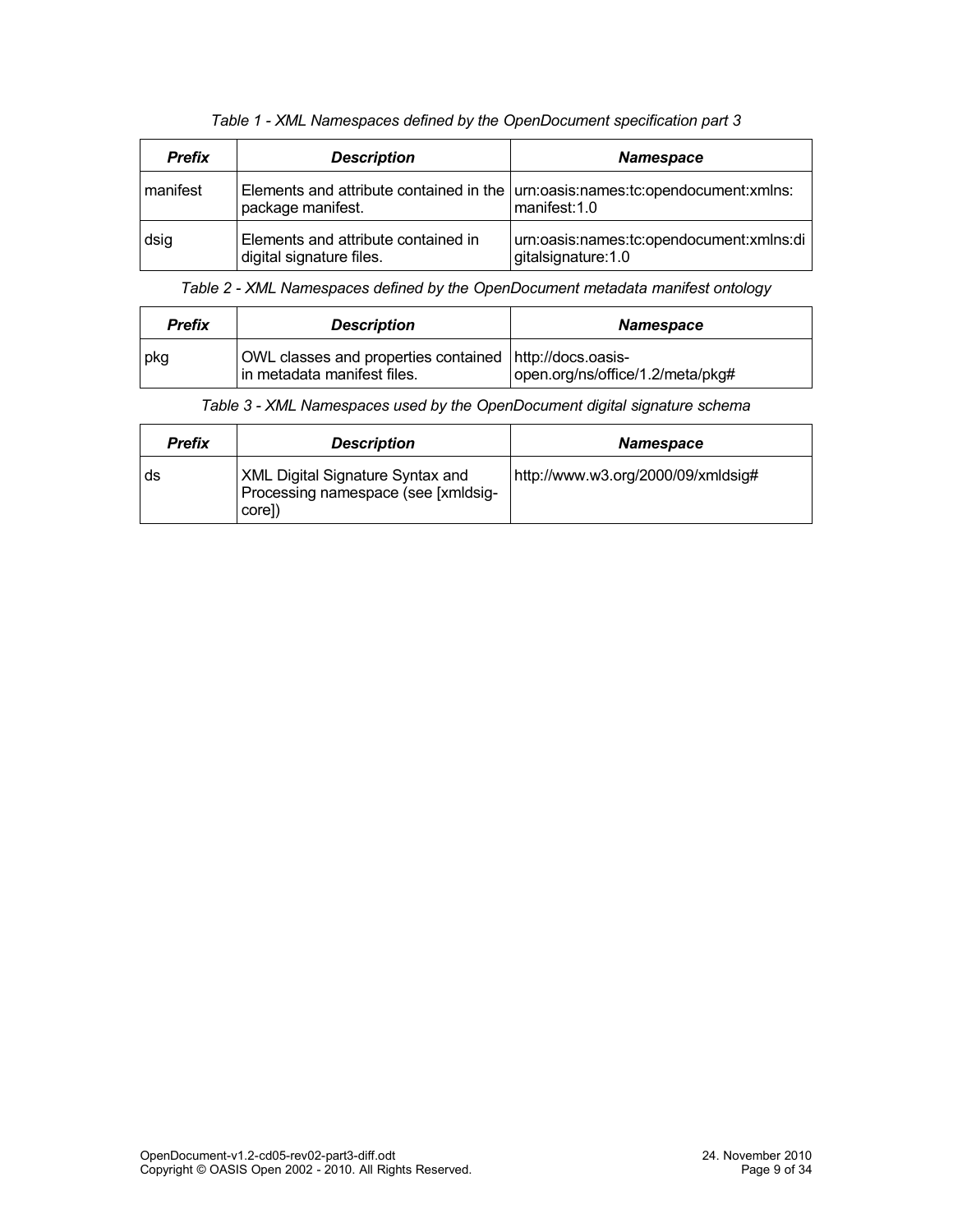| <b>Prefix</b> | <b>Description</b>                                              | <b>Namespace</b>                                                                                   |
|---------------|-----------------------------------------------------------------|----------------------------------------------------------------------------------------------------|
| manifest      | package manifest.                                               | Elements and attribute contained in the $ $ um:oasis:names:tc:opendocument:xmlns:<br>manifest: 1.0 |
| dsig          | Elements and attribute contained in<br>digital signature files. | urn:oasis:names:tc:opendocument:xmlns:di<br>gitalsignature: 1.0                                    |

*Table 1 - XML Namespaces defined by the OpenDocument specification part 3*

*Table 2 - XML Namespaces defined by the OpenDocument metadata manifest ontology*

| <b>Prefix</b> | <b>Description</b>                                                                     | <b>Namespace</b>                 |
|---------------|----------------------------------------------------------------------------------------|----------------------------------|
| pkg           | OWL classes and properties contained http://docs.oasis-<br>in metadata manifest files. | open.org/ns/office/1.2/meta/pkg# |

| <b>Prefix</b> | <b>Description</b>                                                                       | <b>Namespace</b>                   |
|---------------|------------------------------------------------------------------------------------------|------------------------------------|
| ds            | <b>XML Digital Signature Syntax and</b><br>Processing namespace (see [xmldsig-<br>core]) | http://www.w3.org/2000/09/xmldsig# |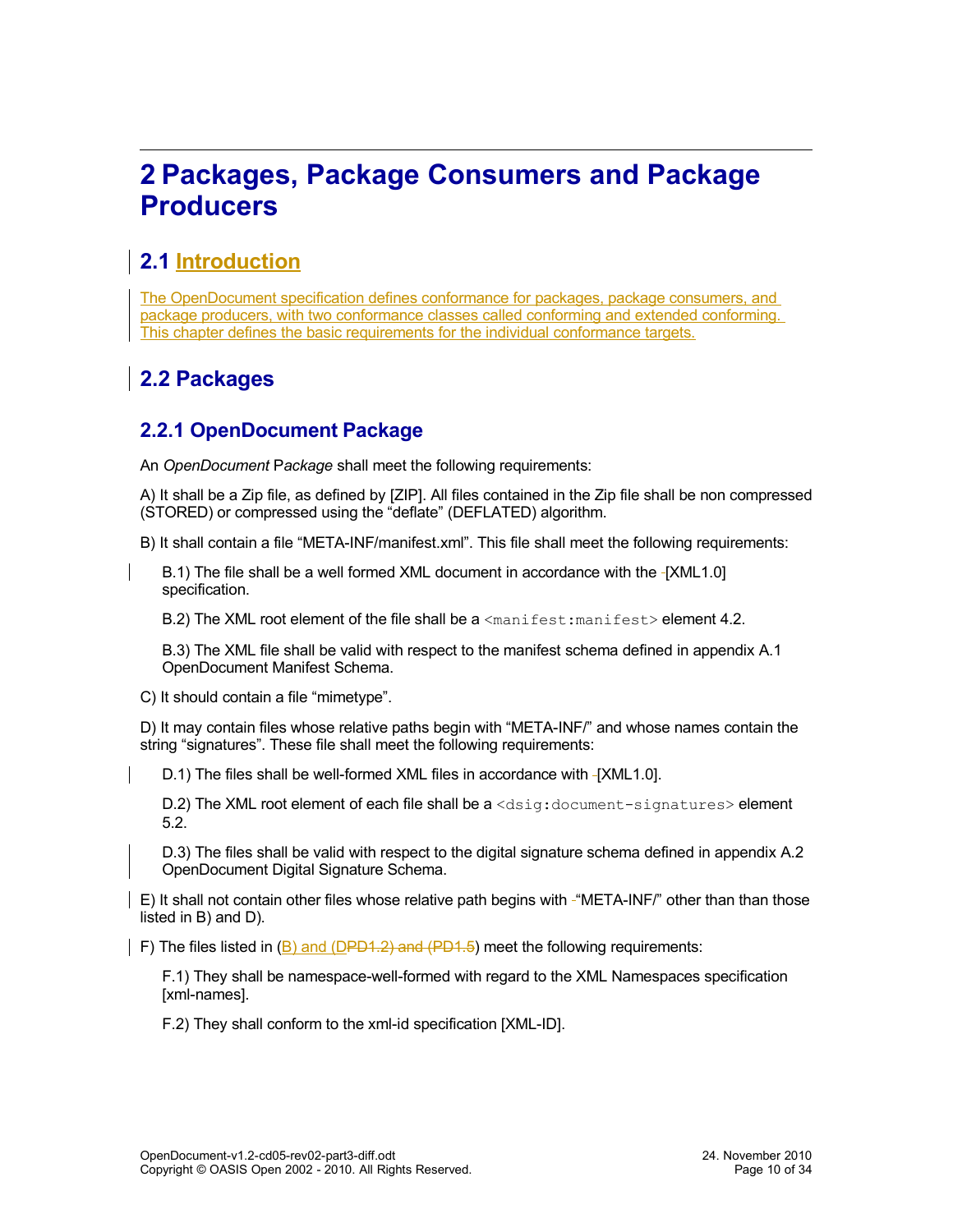# <span id="page-9-3"></span>**2 Packages, Package Consumers and Package Producers**

### <span id="page-9-2"></span>**2.1 Introduction**

The OpenDocument specification defines conformance for packages, package consumers, and package producers, with two conformance classes called conforming and extended conforming. This chapter defines the basic requirements for the individual conformance targets.

## <span id="page-9-1"></span>**2.2 Packages**

### <span id="page-9-0"></span>**2.2.1 OpenDocument Package**

An *OpenDocument* P*ackage* shall meet the following requirements:

A) It shall be a Zip file, as defined by [ZIP]. All files contained in the Zip file shall be non compressed (STORED) or compressed using the "deflate" (DEFLATED) algorithm.

B) It shall contain a file "META-INF/manifest.xml". This file shall meet the following requirements:

B.1) The file shall be a well formed XML document in accordance with the -[XML1.0] specification.

B.2) The XML root element of the file shall be a  $\leq$ manifest:manifest> element [4.2.](#page-17-2)

B.3) The XML file shall be valid with respect to the manifest schema defined in appendix A.1 OpenDocument Manifest Schema.

C) It should contain a file "mimetype".

D) It may contain files whose relative paths begin with "META-INF/" and whose names contain the string "signatures". These file shall meet the following requirements:

D.1) The files shall be well-formed XML files in accordance with [XML1.0].

D.2) The XML root element of each file shall be a <dsig:document-signatures> element [5.2.](#page-25-1)

D.3) The files shall be valid with respect to the digital signature schema defined in appendix A.2 OpenDocument Digital Signature Schema.

E) It shall not contain other files whose relative path begins with "META-INF/" other than than those listed in B) and D).

F) The files listed in (B) and (DPD1.2) and (PD1.5) meet the following requirements:

F.1) They shall be namespace-well-formed with regard to the XML Namespaces specification [xml-names].

F.2) They shall conform to the xml-id specification [XML-ID].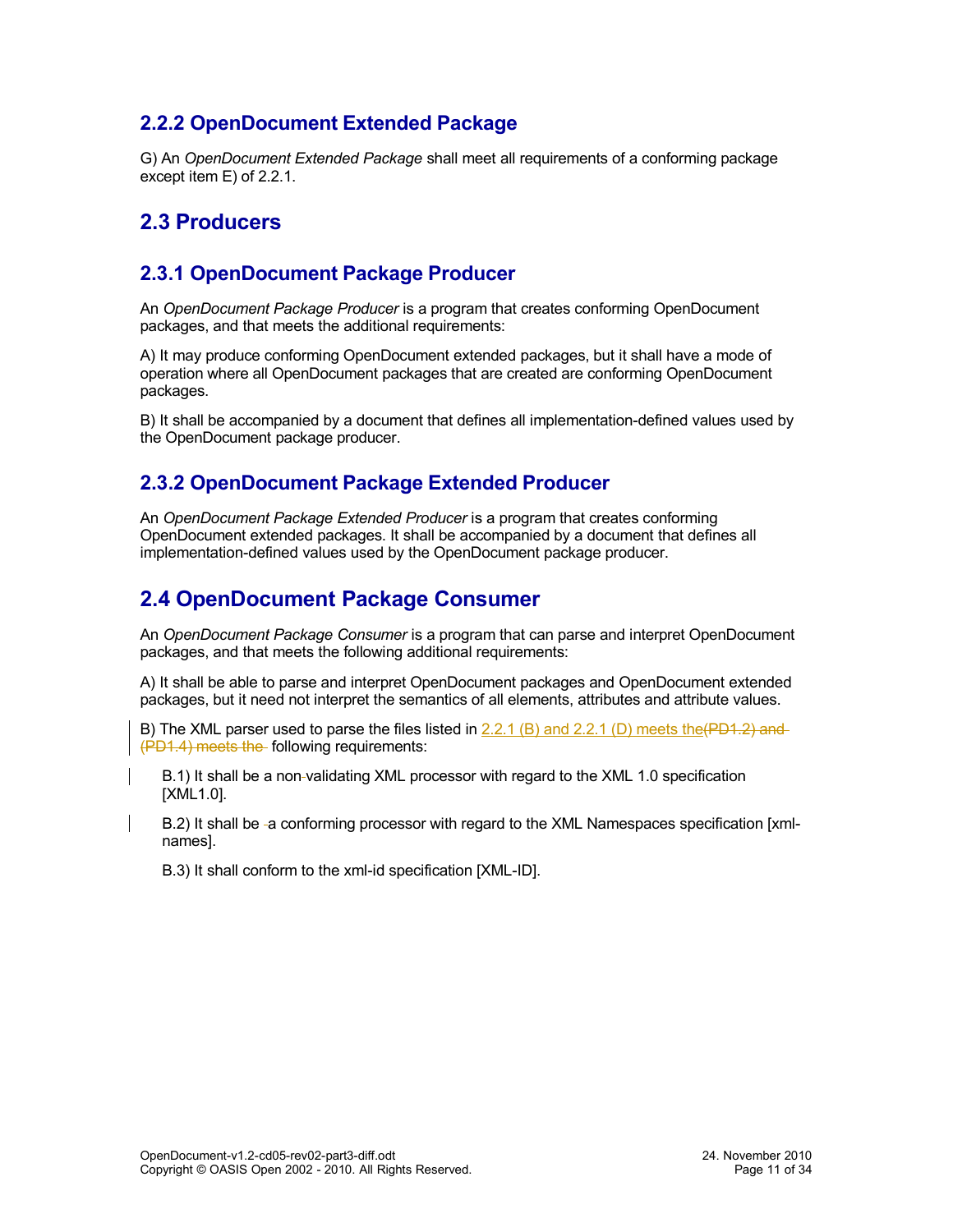### <span id="page-10-4"></span>**2.2.2 OpenDocument Extended Package**

G) An *OpenDocument Extended Package* shall meet all requirements of a conforming package except item E) of [2.2.1.](#page-9-0)

### <span id="page-10-3"></span>**2.3 Producers**

#### <span id="page-10-2"></span>**2.3.1 OpenDocument Package Producer**

An *OpenDocument Package Producer* is a program that creates conforming OpenDocument packages, and that meets the additional requirements:

A) It may produce conforming OpenDocument extended packages, but it shall have a mode of operation where all OpenDocument packages that are created are conforming OpenDocument packages.

B) It shall be accompanied by a document that defines all implementation-defined values used by the OpenDocument package producer.

#### <span id="page-10-1"></span>**2.3.2 OpenDocument Package Extended Producer**

An *OpenDocument Package Extended Producer* is a program that creates conforming OpenDocument extended packages. It shall be accompanied by a document that defines all implementation-defined values used by the OpenDocument package producer.

### <span id="page-10-0"></span>**2.4 OpenDocument Package Consumer**

An *OpenDocument Package Consumer* is a program that can parse and interpret OpenDocument packages, and that meets the following additional requirements:

A) It shall be able to parse and interpret OpenDocument packages and OpenDocument extended packages, but it need not interpret the semantics of all elements, attributes and attribute values.

B) The XML parser used to parse the files listed in  $2.2.1$  (B) and  $2.2.1$  (D) meets the (PD1.2) and (PD1.4) meets the following requirements:

B.1) It shall be a non validating XML processor with regard to the XML 1.0 specification [XML1.0].

B.2) It shall be -a conforming processor with regard to the XML Namespaces specification [xmlnames].

B.3) It shall conform to the xml-id specification [XML-ID].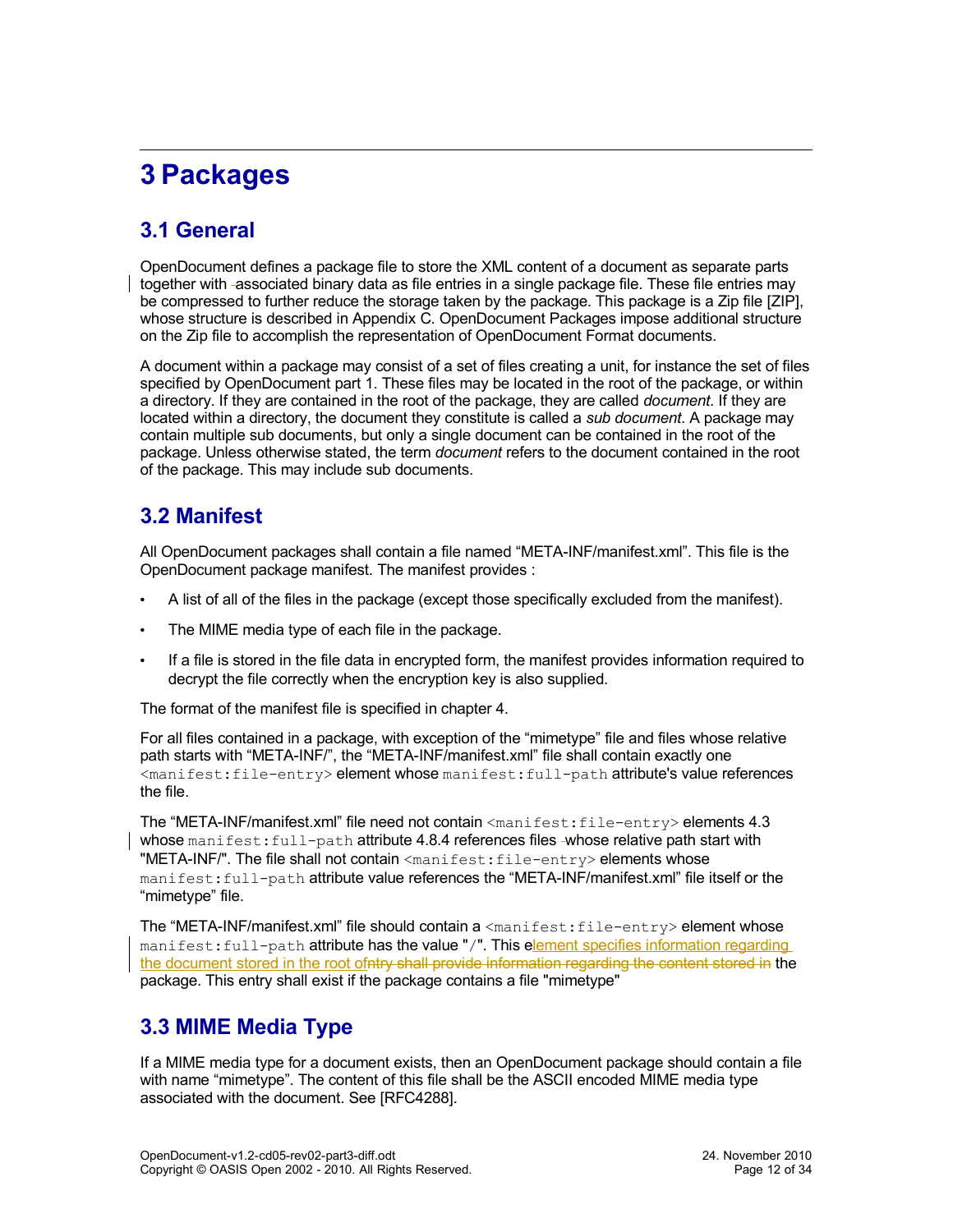# <span id="page-11-3"></span>**3 Packages**

### <span id="page-11-2"></span>**3.1 General**

OpenDocument defines a package file to store the XML content of a document as separate parts together with associated binary data as file entries in a single package file. These file entries may be compressed to further reduce the storage taken by the package. This package is a Zip file [ZIP], whose structure is described in Appendix C. OpenDocument Packages impose additional structure on the Zip file to accomplish the representation of OpenDocument Format documents.

A document within a package may consist of a set of files creating a unit, for instance the set of files specified by OpenDocument part 1. These files may be located in the root of the package, or within a directory. If they are contained in the root of the package, they are called *document*. If they are located within a directory, the document they constitute is called a *sub document*. A package may contain multiple sub documents, but only a single document can be contained in the root of the package. Unless otherwise stated, the term *document* refers to the document contained in the root of the package. This may include sub documents.

### <span id="page-11-1"></span>**3.2 Manifest**

All OpenDocument packages shall contain a file named "META-INF/manifest.xml". This file is the OpenDocument package manifest. The manifest provides :

- A list of all of the files in the package (except those specifically excluded from the manifest).
- The MIME media type of each file in the package.
- If a file is stored in the file data in encrypted form, the manifest provides information required to decrypt the file correctly when the encryption key is also supplied.

The format of the manifest file is specified in chapter [4.](#page-17-4)

For all files contained in a package, with exception of the "mimetype" file and files whose relative path starts with "META-INF/", the "META-INF/manifest.xml" file shall contain exactly one <manifest:file-entry> element whose manifest:full-path attribute's value references the file.

The "META-INF/manifest.xml" file need not contain <manifest:file-entry> elements [4.3](#page-17-1) whose manifest: full-path attribute [4.8.4](#page-21-2) references files -whose relative path start with "META-INF/". The file shall not contain <manifest:file-entry> elements whose manifest:full-path attribute value references the "META-INF/manifest.xml" file itself or the "mimetype" file.

The "META-INF/manifest.xml" file should contain a  $\langle$ manifest:file-entry> element whose manifest:full-path attribute has the value "/". This element specifies information regarding the document stored in the root ofntry shall provide information regarding the content stored in the package. This entry shall exist if the package contains a file "mimetype"

### <span id="page-11-0"></span>**3.3 MIME Media Type**

If a MIME media type for a document exists, then an OpenDocument package should contain a file with name "mimetype". The content of this file shall be the ASCII encoded MIME media type associated with the document. See [RFC4288].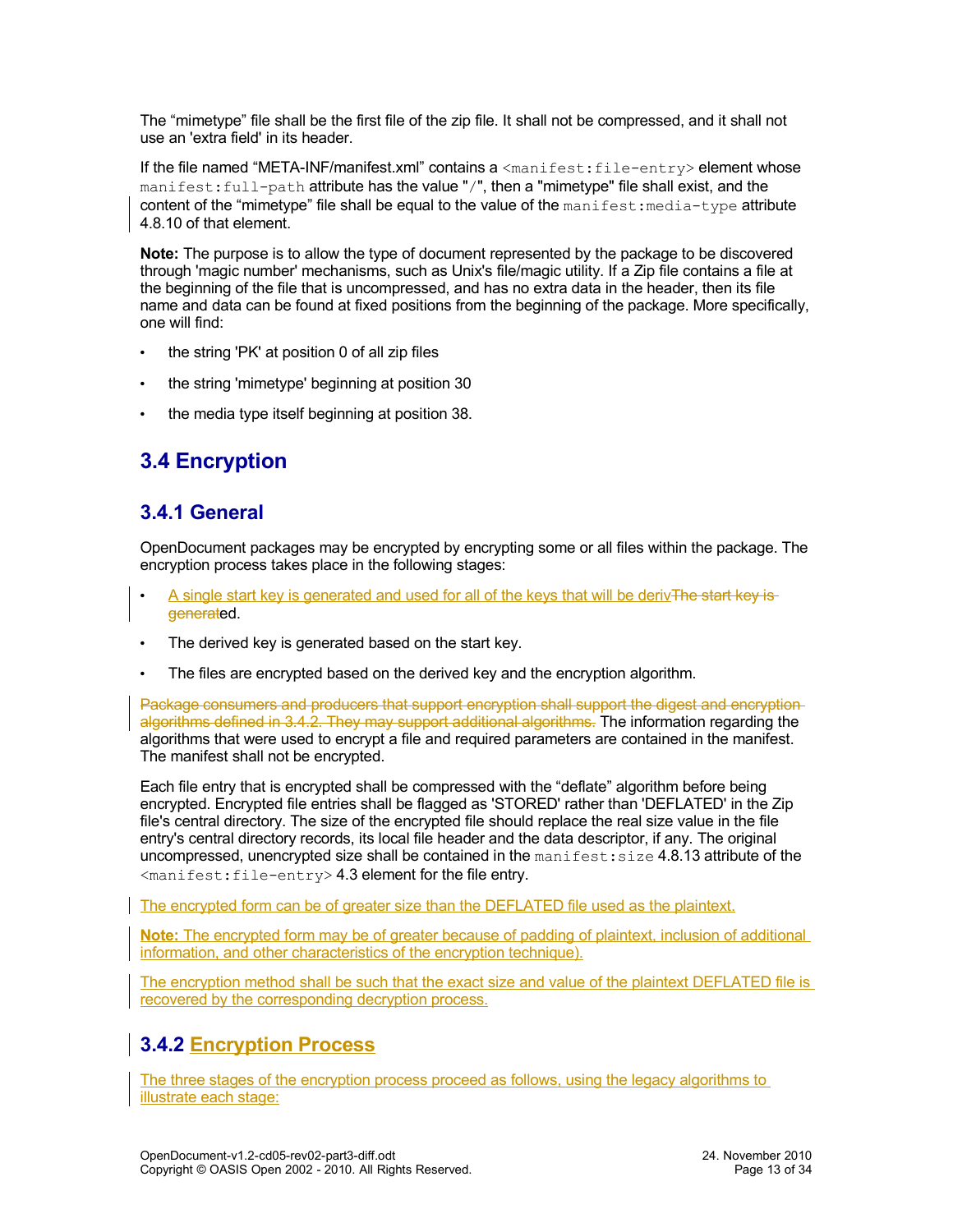The "mimetype" file shall be the first file of the zip file. It shall not be compressed, and it shall not use an 'extra field' in its header.

If the file named "META-INF/manifest.xml" contains a <manifest:file-entry> element whose manifest:full-path attribute has the value "/", then a "mimetype" file shall exist, and the content of the "mimetype" file shall be equal to the value of the  $\text{mantest:median-type}$  attribute [4.8.10](#page-23-1) of that element.

**Note:** The purpose is to allow the type of document represented by the package to be discovered through 'magic number' mechanisms, such as Unix's file/magic utility. If a Zip file contains a file at the beginning of the file that is uncompressed, and has no extra data in the header, then its file name and data can be found at fixed positions from the beginning of the package. More specifically, one will find:

- the string 'PK' at position 0 of all zip files
- the string 'mimetype' beginning at position 30
- the media type itself beginning at position 38.

## <span id="page-12-2"></span>**3.4 Encryption**

### <span id="page-12-1"></span>**3.4.1 General**

OpenDocument packages may be encrypted by encrypting some or all files within the package. The encryption process takes place in the following stages:

- A single start key is generated and used for all of the keys that will be derivThe start key isgenerated.
- The derived key is generated based on the start key.
- The files are encrypted based on the derived key and the encryption algorithm.

Package consumers and producers that support encryption shall support the digest and encryption algorithms defined in [3.4.2.](#page-12-0) They may support additional algorithms. The information regarding the algorithms that were used to encrypt a file and required parameters are contained in the manifest. The manifest shall not be encrypted.

Each file entry that is encrypted shall be compressed with the "deflate" algorithm before being encrypted. Encrypted file entries shall be flagged as 'STORED' rather than 'DEFLATED' in the Zip file's central directory. The size of the encrypted file should replace the real size value in the file entry's central directory records, its local file header and the data descriptor, if any. The original uncompressed, unencrypted size shall be contained in the manifest: size [4.8.13](#page-24-1) attribute of the <manifest:file-entry> [4.3](#page-17-1) element for the file entry.

The encrypted form can be of greater size than the DEFLATED file used as the plaintext.

**Note:** The encrypted form may be of greater because of padding of plaintext, inclusion of additional information, and other characteristics of the encryption technique).

The encryption method shall be such that the exact size and value of the plaintext DEFLATED file is recovered by the corresponding decryption process.

### <span id="page-12-0"></span>**3.4.2 Encryption Process**

The three stages of the encryption process proceed as follows, using the legacy algorithms to illustrate each stage: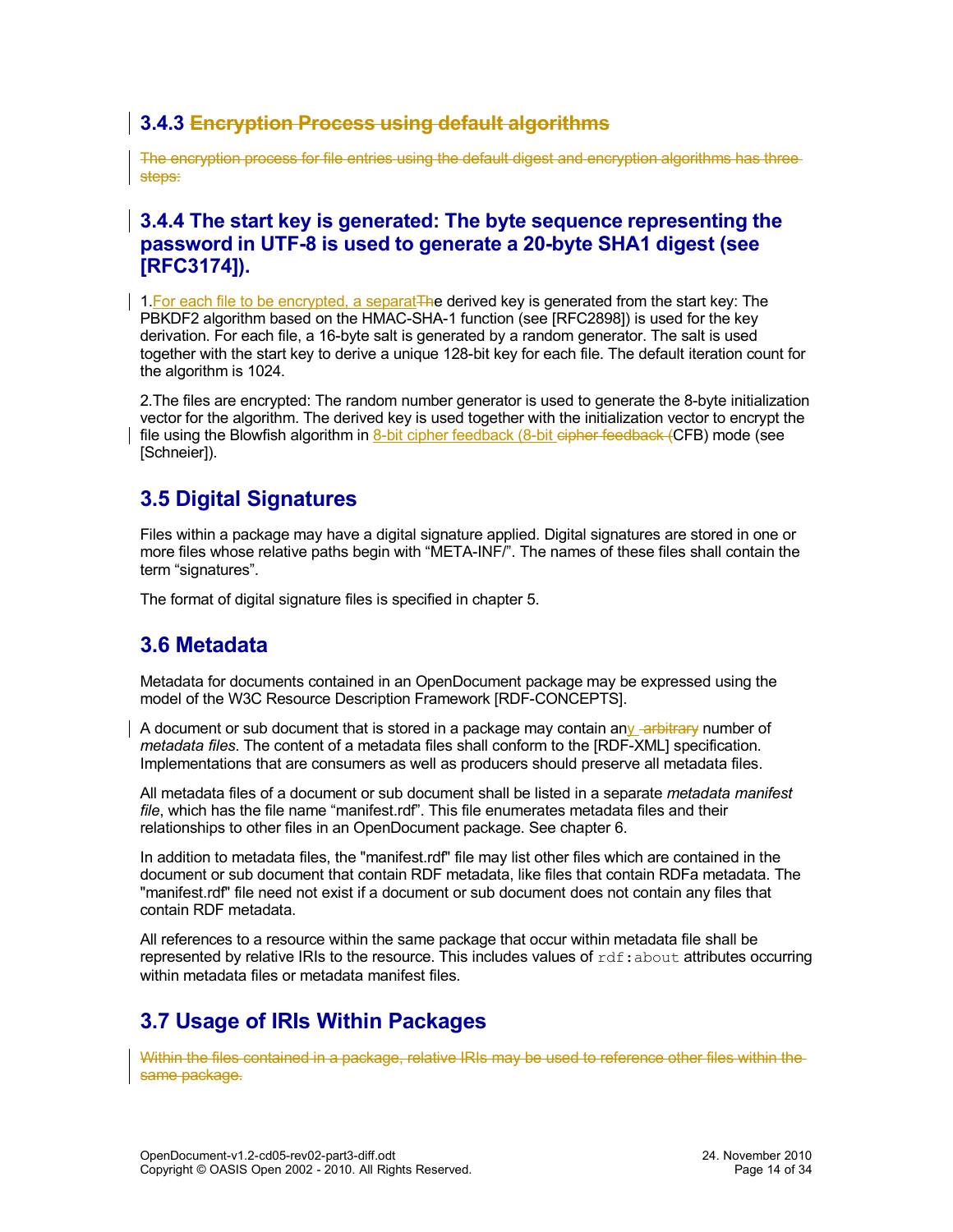### **3.4.3 Encryption Process using default algorithms**

The encryption process for file entries using the default digest and encryption algorithms has three steps:

#### **3.4.4 The start key is generated: The byte sequence representing the password in UTF-8 is used to generate a 20-byte SHA1 digest (see [RFC3174]).**

1. For each file to be encrypted, a separat The derived key is generated from the start key: The PBKDF2 algorithm based on the HMAC-SHA-1 function (see [RFC2898]) is used for the key derivation. For each file, a 16-byte salt is generated by a random generator. The salt is used together with the start key to derive a unique 128-bit key for each file. The default iteration count for the algorithm is 1024.

2.The files are encrypted: The random number generator is used to generate the 8-byte initialization vector for the algorithm. The derived key is used together with the initialization vector to encrypt the file using the Blowfish algorithm in 8-bit cipher feedback (8-bit cipher feedback (CFB) mode (see [Schneier]).

### <span id="page-13-2"></span>**3.5 Digital Signatures**

Files within a package may have a digital signature applied. Digital signatures are stored in one or more files whose relative paths begin with "META-INF/". The names of these files shall contain the term "signatures".

The format of digital signature files is specified in chapter [5.](#page-25-3)

### <span id="page-13-1"></span>**3.6 Metadata**

Metadata for documents contained in an OpenDocument package may be expressed using the model of the W3C Resource Description Framework [RDF-CONCEPTS].

A document or sub document that is stored in a package may contain any -arbitrary number of *metadata files*. The content of a metadata files shall conform to the [RDF-XML] specification. Implementations that are consumers as well as producers should preserve all metadata files.

All metadata files of a document or sub document shall be listed in a separate *metadata manifest file*, which has the file name "manifest.rdf". This file enumerates metadata files and their relationships to other files in an OpenDocument package. See chapter [6.](#page-28-6)

In addition to metadata files, the "manifest.rdf" file may list other files which are contained in the document or sub document that contain RDF metadata, like files that contain RDFa metadata. The "manifest.rdf" file need not exist if a document or sub document does not contain any files that contain RDF metadata.

All references to a resource within the same package that occur within metadata file shall be represented by relative IRIs to the resource. This includes values of  $\text{rdf:about attributes occurring}$ within metadata files or metadata manifest files.

## <span id="page-13-0"></span>**3.7 Usage of IRIs Within Packages**

Within the files contained in a package, relative IRIs may be used to reference other files within the same package.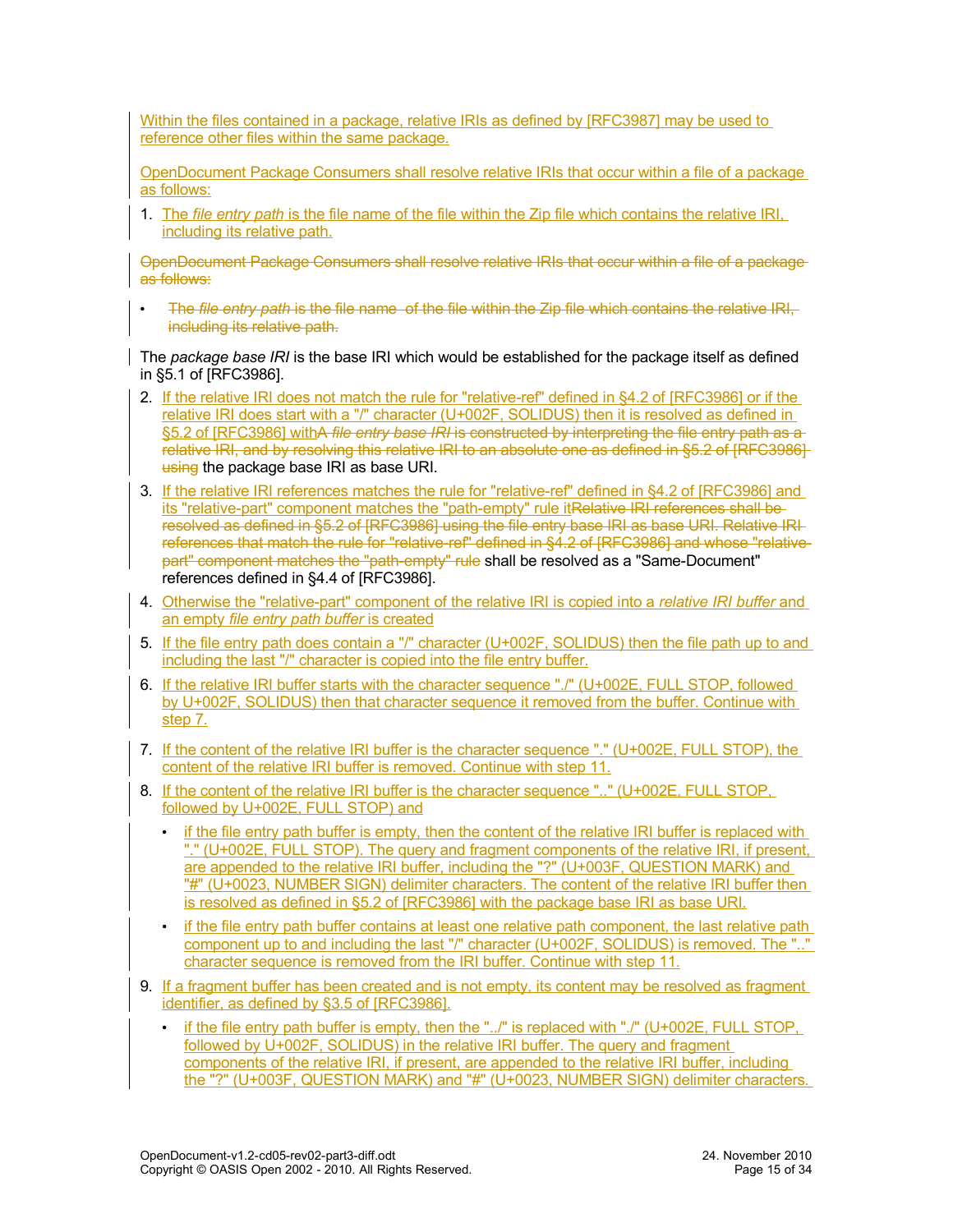Within the files contained in a package, relative IRIs as defined by [RFC3987] may be used to reference other files within the same package.

OpenDocument Package Consumers shall resolve relative IRIs that occur within a file of a package as follows:

1. The *file entry path* is the file name of the file within the Zip file which contains the relative IRI, including its relative path.

OpenDocument Package Consumers shall resolve relative IRIs that occur within a file of a package as follows:

• The *file entry path* is the file name of the file within the Zip file which contains the relative IRI, including its relative path.

The *package base IRI* is the base IRI which would be established for the package itself as defined in §5.1 of [RFC3986].

- 2. If the relative IRI does not match the rule for "relative-ref" defined in §4.2 of [RFC3986] or if the relative IRI does start with a "/" character (U+002F, SOLIDUS) then it is resolved as defined in §5.2 of [RFC3986] withA *file entry base IRI* is constructed by interpreting the file entry path as a relative IRI, and by resolving this relative IRI to an absolute one as defined in §5.2 of [RFC3986] using the package base IRI as base URI.
- 3. If the relative IRI references matches the rule for "relative-ref" defined in §4.2 of [RFC3986] and its "relative-part" component matches the "path-empty" rule itRelative IRI references shall be resolved as defined in §5.2 of [RFC3986] using the file entry base IRI as base URI. Relative IRI references that match the rule for "relative-ref" defined in §4.2 of [RFC3986] and whose "relativepart" component matches the "path-empty" rule shall be resolved as a "Same-Document" references defined in §4.4 of [RFC3986].
- 4. Otherwise the "relative-part" component of the relative IRI is copied into a *relative IRI buffer* and an empty *file entry path buffer* is created
- 5. If the file entry path does contain a "/" character (U+002F, SOLIDUS) then the file path up to and including the last "/" character is copied into the file entry buffer.
- 6. If the relative IRI buffer starts with the character sequence "./" (U+002E, FULL STOP, followed by U+002F, SOLIDUS) then that character sequence it removed from the buffer. Continue with step 7.
- 7. If the content of the relative IRI buffer is the character sequence "." (U+002E, FULL STOP), the content of the relative IRI buffer is removed. Continue with step 11.
- 8. If the content of the relative IRI buffer is the character sequence ".." (U+002E, FULL STOP, followed by U+002E, FULL STOP) and
	- if the file entry path buffer is empty, then the content of the relative IRI buffer is replaced with "." (U+002E, FULL STOP). The query and fragment components of the relative IRI, if present, are appended to the relative IRI buffer, including the "?" (U+003F, QUESTION MARK) and "#" (U+0023, NUMBER SIGN) delimiter characters. The content of the relative IRI buffer then is resolved as defined in §5.2 of [RFC3986] with the package base IRI as base URI.
	- if the file entry path buffer contains at least one relative path component, the last relative path component up to and including the last "/" character (U+002F, SOLIDUS) is removed. The ".." character sequence is removed from the IRI buffer. Continue with step 11.
- 9. If a fragment buffer has been created and is not empty, its content may be resolved as fragment identifier, as defined by §3.5 of [RFC3986].
	- if the file entry path buffer is empty, then the "../" is replaced with "./" (U+002E, FULL STOP, followed by U+002F, SOLIDUS) in the relative IRI buffer. The query and fragment components of the relative IRI, if present, are appended to the relative IRI buffer, including the "?" (U+003F, QUESTION MARK) and "#" (U+0023, NUMBER SIGN) delimiter characters.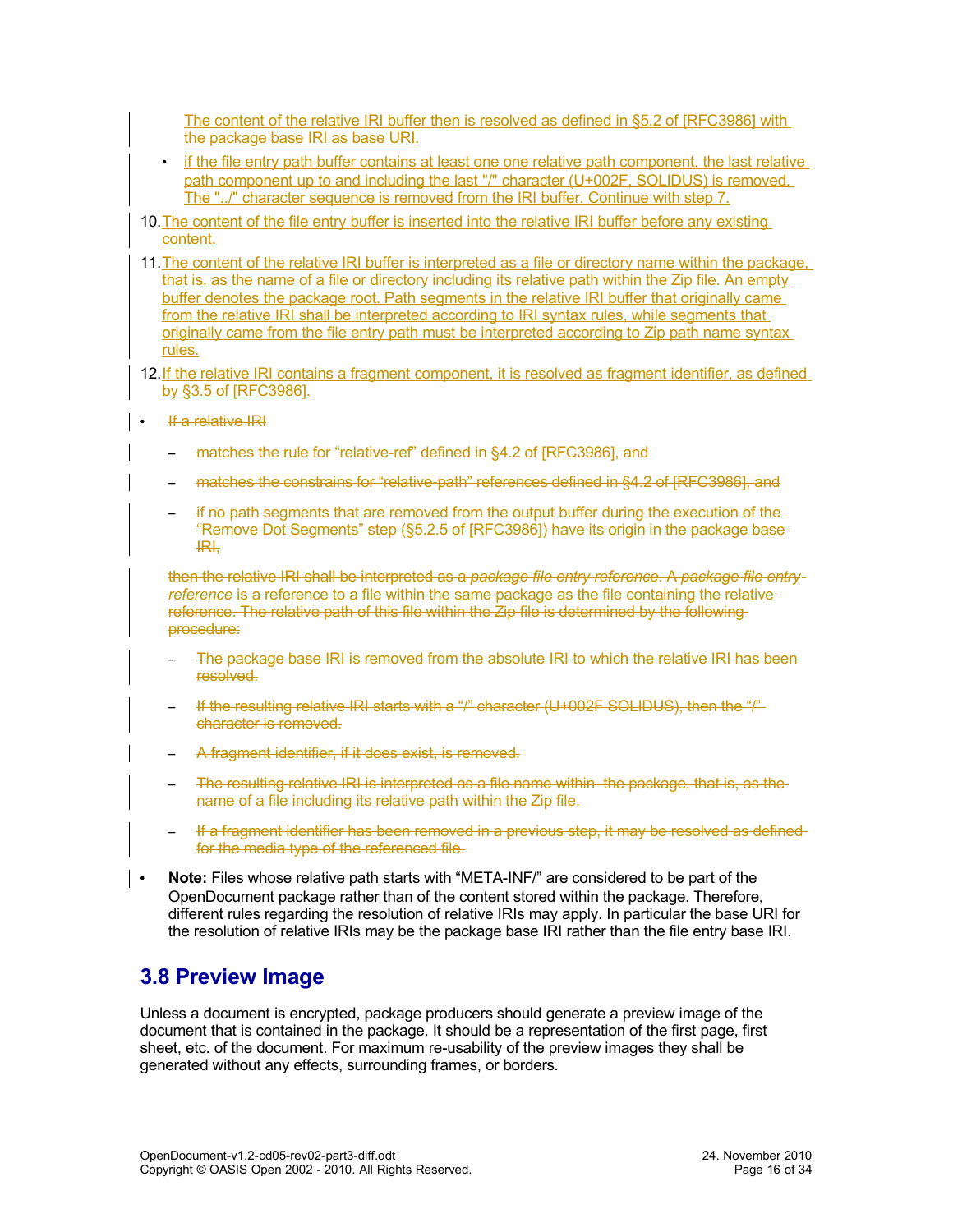The content of the relative IRI buffer then is resolved as defined in §5.2 of [RFC3986] with the package base IRI as base URI.

- if the file entry path buffer contains at least one one relative path component, the last relative path component up to and including the last "/" character (U+002F, SOLIDUS) is removed. The "../" character sequence is removed from the IRI buffer. Continue with step 7.
- 10. The content of the file entry buffer is inserted into the relative IRI buffer before any existing content.
- 11.The content of the relative IRI buffer is interpreted as a file or directory name within the package, that is, as the name of a file or directory including its relative path within the Zip file. An empty buffer denotes the package root. Path segments in the relative IRI buffer that originally came from the relative IRI shall be interpreted according to IRI syntax rules, while segments that originally came from the file entry path must be interpreted according to Zip path name syntax rules.
- 12. If the relative IRI contains a fragment component, it is resolved as fragment identifier, as defined by §3.5 of [RFC3986].
- If a relative IRI
	- matches the rule for "relative-ref" defined in §4.2 of [RFC3986], and
	- matches the constrains for "relative-path" references defined in §4.2 of [RFC3986], and
	- if no path segments that are removed from the output buffer during the execution of the "Remove Dot Segments" step (§5.2.5 of [RFC3986]) have its origin in the package base IRI,

then the relative IRI shall be interpreted as a *package file entry reference*. A *package file entry* reference is a reference to a file within the same package as the file containing the relative reference. The relative path of this file within the Zip file is determined by the following procedure:

- The package base IRI is removed from the absolute IRI to which the relative IRI has beenresolved.
- If the resulting relative IRI starts with a "/" character (U+002F SOLIDUS), then the "/" character is removed.
- A fragment identifier, if it does exist, is removed.
- The resulting relative IRI is interpreted as a file name within the package, that is, as the name of a file including its relative path within the Zip file.
- If a fragment identifier has been removed in a previous step, it may be resolved as defined for the media type of the referenced file.
- **Note:** Files whose relative path starts with "META-INF/" are considered to be part of the OpenDocument package rather than of the content stored within the package. Therefore, different rules regarding the resolution of relative IRIs may apply. In particular the base URI for the resolution of relative IRIs may be the package base IRI rather than the file entry base IRI.

### <span id="page-15-0"></span>**3.8 Preview Image**

Unless a document is encrypted, package producers should generate a preview image of the document that is contained in the package. It should be a representation of the first page, first sheet, etc. of the document. For maximum re-usability of the preview images they shall be generated without any effects, surrounding frames, or borders.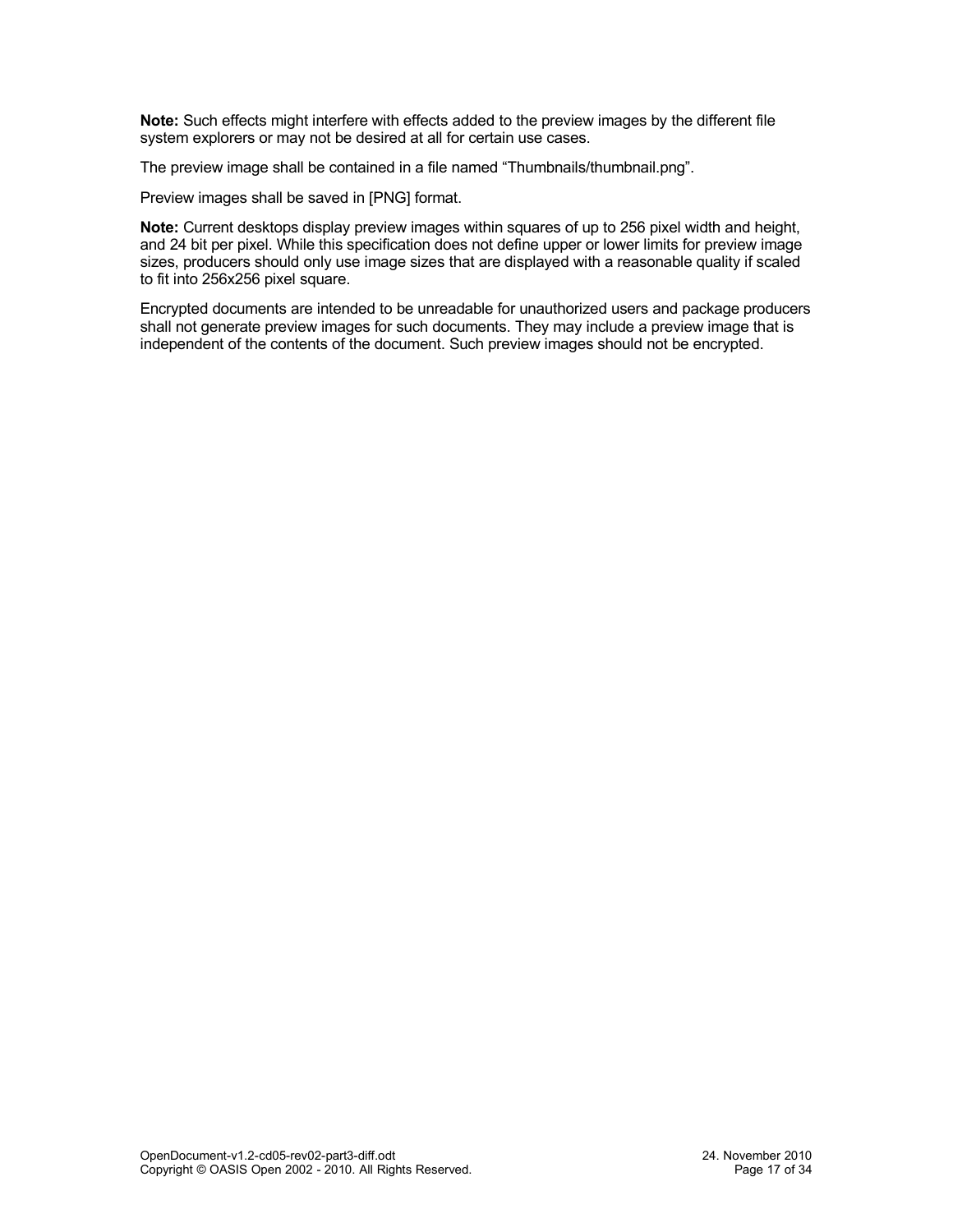**Note:** Such effects might interfere with effects added to the preview images by the different file system explorers or may not be desired at all for certain use cases.

The preview image shall be contained in a file named "Thumbnails/thumbnail.png".

Preview images shall be saved in [PNG] format.

**Note:** Current desktops display preview images within squares of up to 256 pixel width and height, and 24 bit per pixel. While this specification does not define upper or lower limits for preview image sizes, producers should only use image sizes that are displayed with a reasonable quality if scaled to fit into 256x256 pixel square.

Encrypted documents are intended to be unreadable for unauthorized users and package producers shall not generate preview images for such documents. They may include a preview image that is independent of the contents of the document. Such preview images should not be encrypted.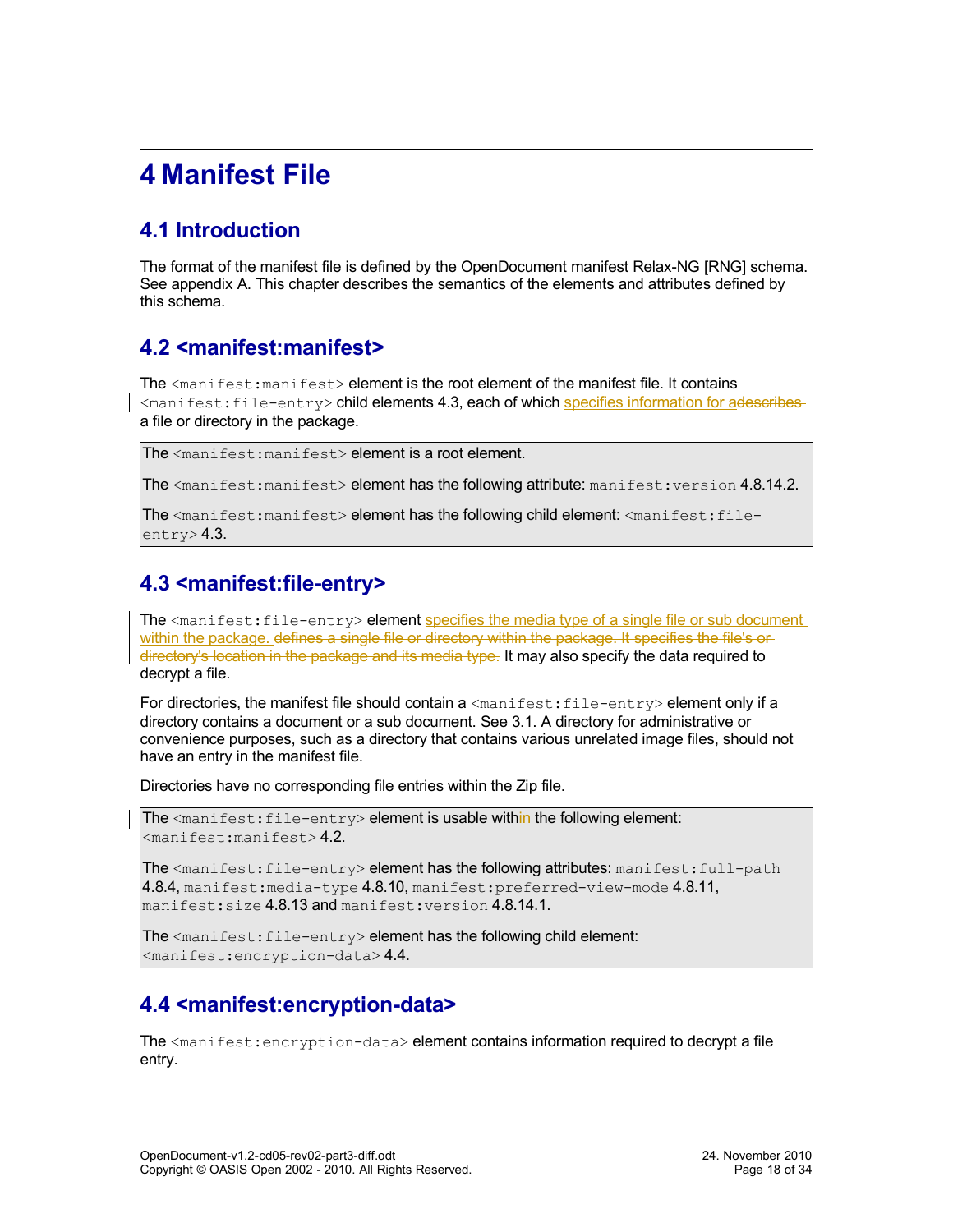# <span id="page-17-4"></span>**4 Manifest File**

## <span id="page-17-3"></span>**4.1 Introduction**

The format of the manifest file is defined by the OpenDocument manifest Relax-NG [RNG] schema. See appendix A. This chapter describes the semantics of the elements and attributes defined by this schema.

### <span id="page-17-2"></span>**4.2 <manifest:manifest>**

The <manifest: manifest> element is the root element of the manifest file. It contains <manifest:file-entry> child elements [4.3,](#page-17-1) each of which specifies information for adescribes a file or directory in the package.

The <manifest:manifest> element is a root element.

The  $\zeta$  manifest: manifest> element has the following attribute: manifest: version [4.8.14.2.](#page-24-4)

The <manifest:manifest> element has the following child element: <manifest:file $entrv$  $2.3$ .

## <span id="page-17-1"></span>**4.3 <manifest:file-entry>**

The <manifest: file-entry> element specifies the media type of a single file or sub document within the package, defines a single file or directory within the package. It specifies the file's ordirectory's location in the package and its media type. It may also specify the data required to decrypt a file.

For directories, the manifest file should contain  $a$  <manifest: file-entry> element only if a directory contains a document or a sub document. See [3.1.](#page-11-2) A directory for administrative or convenience purposes, such as a directory that contains various unrelated image files, should not have an entry in the manifest file.

Directories have no corresponding file entries within the Zip file.

The  $\zeta$  anifest: file-entry > element is usable within the following element: <manifest:manifest> [4.2.](#page-17-2)

The  $\zeta$  manifest: file-entry> element has the following attributes: manifest: full-path [4.8.4,](#page-21-2) manifest: media-type  $4.8.10$ , manifest: preferred-view-mode  $4.8.11$ , manifest:size [4.8.13](#page-24-1) and manifest:version [4.8.14.1.](#page-24-3)

The <manifest: file-entry> element has the following child element: <manifest:encryption-data> [4.4.](#page-17-0)

### <span id="page-17-0"></span>**4.4 <manifest:encryption-data>**

The  $\zeta$  manifest: encryption-data> element contains information required to decrypt a file entry.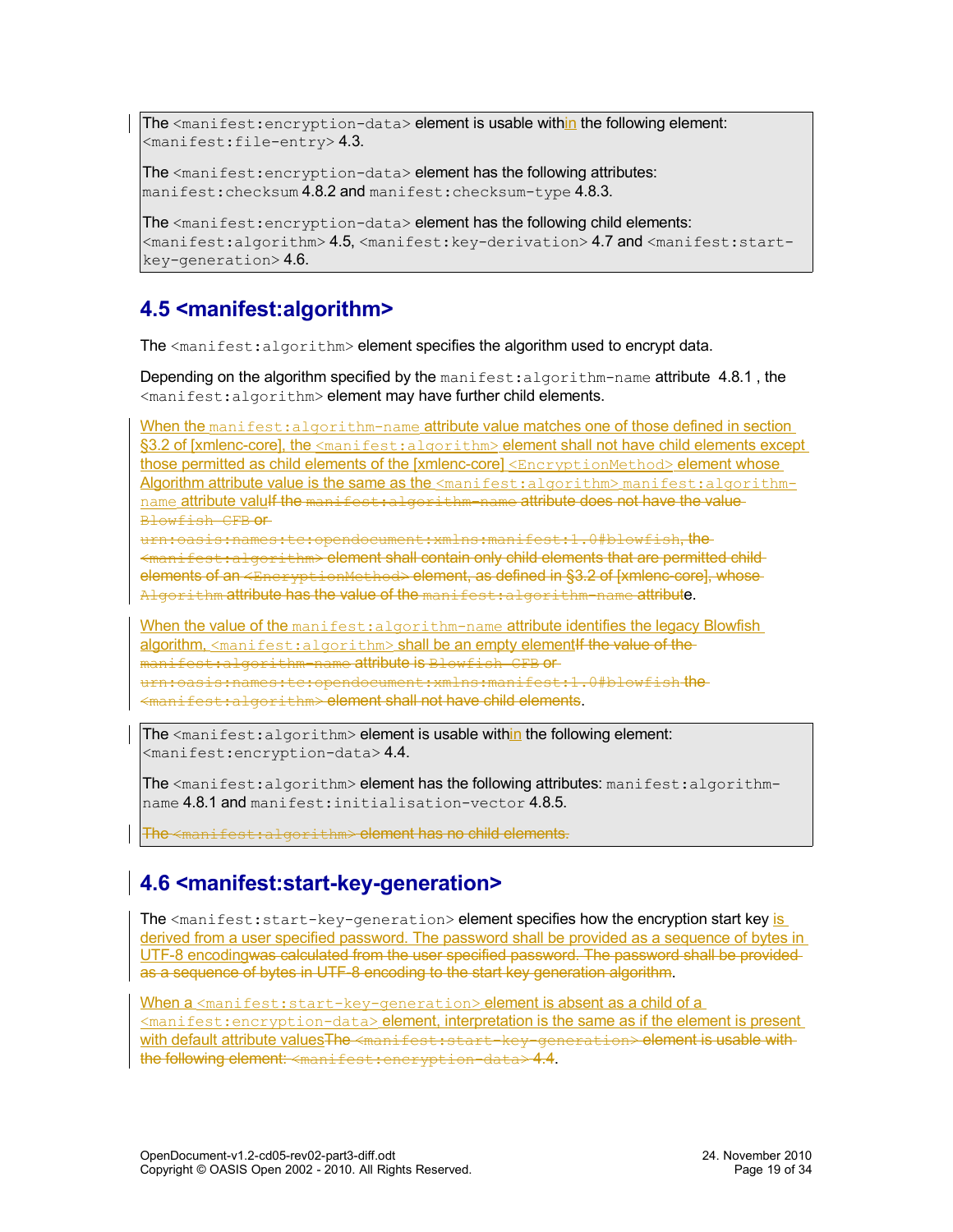The  $\zeta$  anifest: encryption-data> element is usable within the following element:  $<$ manifest:file-entry>[4.3.](#page-17-1)

The <manifest: encryption-data> element has the following attributes: manifest: checksum [4.8.2](#page-20-1) and manifest: checksum-type [4.8.3.](#page-20-0)

The <manifest:encryption-data> element has the following child elements: <manifest:algorithm> [4.5,](#page-18-1) <manifest:key-derivation> [4.7](#page-19-0) and <manifest:startkey-generation> [4.6.](#page-18-0)

## <span id="page-18-1"></span>**4.5 <manifest:algorithm>**

The  $\leq$ manifest: algorithm> element specifies the algorithm used to encrypt data.

Depending on the algorithm specified by the manifest: algorithm-name attribute 4.8.1, the <manifest:algorithm> element may have further child elements.

When the manifest: algorithm-name attribute value matches one of those defined in section §3.2 of [xmlenc-core], the <manifest:algorithm> element shall not have child elements except those permitted as child elements of the [xmlenc-core] <EncryptionMethod> element whose Algorithm attribute value is the same as the  $\leq$ manifest:algorithm> manifest:algorithmname attribute valulf the manifest: algorithm-name attribute does not have the value Blowfish CFB or

urn:oasis:names:tc:opendocument:xmlns:manifest:1.0#blowfish, the <manifest:algorithm> element shall contain only child elements that are permitted child elements of an <EncryptionMethod> element, as defined in §3.2 of [xmlenc-core], whose-Algorithm attribute has the value of the manifest: algorithm-name attribute.

When the value of the manifest: algorithm-name attribute identifies the legacy Blowfish algorithm,  $\zeta$  manifest: algorithm> shall be an empty element if the value of the manifest:algorithm-name attribute is Blowfish CFB or urn:oasis:names:tc:opendocument:xmlns:manifest:1.0#blowfish the  $mifest:$ algorithm> element shall not have child elements.

The  $\leq$ manifest: algorithm> element is usable within the following element: <manifest:encryption-data> [4.4.](#page-17-0)

The <manifest:algorithm> element has the following attributes: manifest:algorithmname [4.8.1](#page-19-1) and manifest:initialisation-vector [4.8.5.](#page-21-1)

The <manifest:algorithm> element has no child elements.

## <span id="page-18-0"></span>**4.6 <manifest:start-key-generation>**

The  $\zeta$  manifest: start-key-generation> element specifies how the encryption start key is derived from a user specified password. The password shall be provided as a sequence of bytes in UTF-8 encodingwas calculated from the user specified password. The password shall be provided as a sequence of bytes in UTF-8 encoding to the start key generation algorithm.

When a <manifest: start-key-generation> element is absent as a child of a <manifest:encryption-data> element, interpretation is the same as if the element is present with default attribute valuesThe <manifest:start-key-generation> element is usable withthe following element: <manifest:encryption-data> [4.4.](#page-17-0)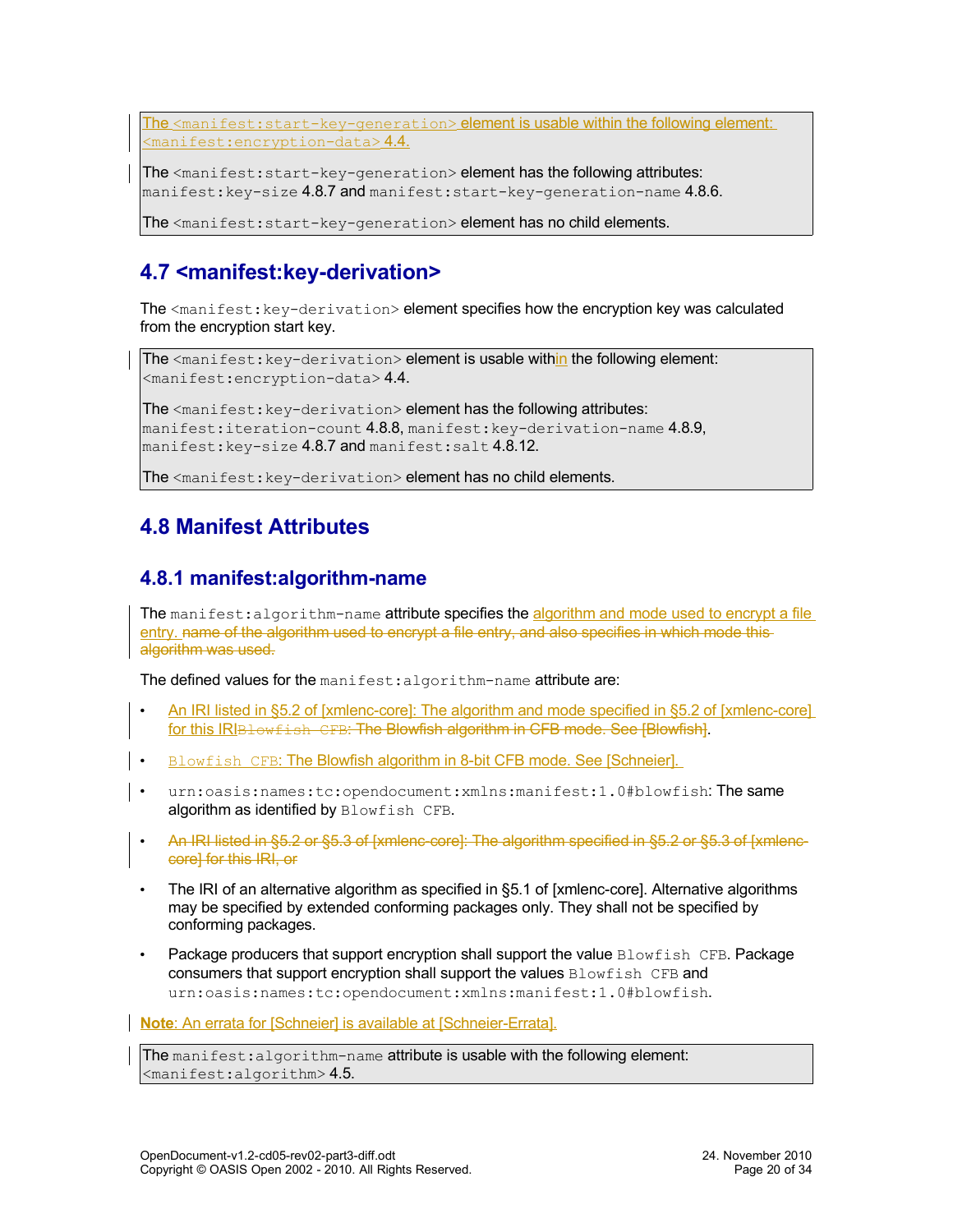The <manifest:start-key-generation> element is usable within the following element:  $<$ manifest:encryption-data>[4.4.](#page-17-0)

The <manifest: start-key-generation> element has the following attributes: manifest: key-size [4.8.7](#page-22-2) and manifest: start-key-generation-name [4.8.6.](#page-21-0)

The <manifest: start-key-generation> element has no child elements.

## <span id="page-19-0"></span>**4.7 <manifest:key-derivation>**

The <manifest: key-derivation> element specifies how the encryption key was calculated from the encryption start key.

The <manifest: key-derivation> element is usable within the following element: <manifest:encryption-data> [4.4.](#page-17-0)

The <manifest: key-derivation> element has the following attributes: manifest:iteration-count  $4.8.8$ , manifest:key-derivation-name  $4.8.9$ , manifest: key-size [4.8.7](#page-22-2) and manifest: salt [4.8.12.](#page-24-2)

The <manifest: key-derivation> element has no child elements.

### <span id="page-19-2"></span>**4.8 Manifest Attributes**

### <span id="page-19-1"></span>**4.8.1 manifest:algorithm-name**

The manifest: algorithm-name attribute specifies the algorithm and mode used to encrypt a file entry. name of the algorithm used to encrypt a file entry, and also specifies in which mode thisalgorithm was used.

The defined values for the manifest: algorithm-name attribute are:

- An IRI listed in §5.2 of [xmlenc-core] : The algorithm and mode specified in §5.2 of [xmlenc-core] for this IRIBLowfish CFB: The Blowfish algorithm in CFB mode. See [Blowfish].
- Blowfish CFB: The Blowfish algorithm in 8-bit CFB mode. See [Schneier].
- urn:oasis:names:tc:opendocument:xmlns:manifest:1.0#blowfish:The same algorithm as identified by Blowfish CFB.
- An IRI listed in §5.2 or §5.3 of [xmlenc-core]: The algorithm specified in §5.2 or §5.3 of [xmlenccore] for this IRI, or
- The IRI of an alternative algorithm as specified in §5.1 of [xmlenc-core]. Alternative algorithms may be specified by extended conforming packages only. They shall not be specified by conforming packages.
- Package producers that support encryption shall support the value Blowfish CFB. Package consumers that support encryption shall support the values Blowfish CFB and urn:oasis:names:tc:opendocument:xmlns:manifest:1.0#blowfish.

**Note**: An errata for [Schneier] is available at [Schneier-Errata].

The manifest: algorithm-name attribute is usable with the following element: <manifest:algorithm> [4.5.](#page-18-1)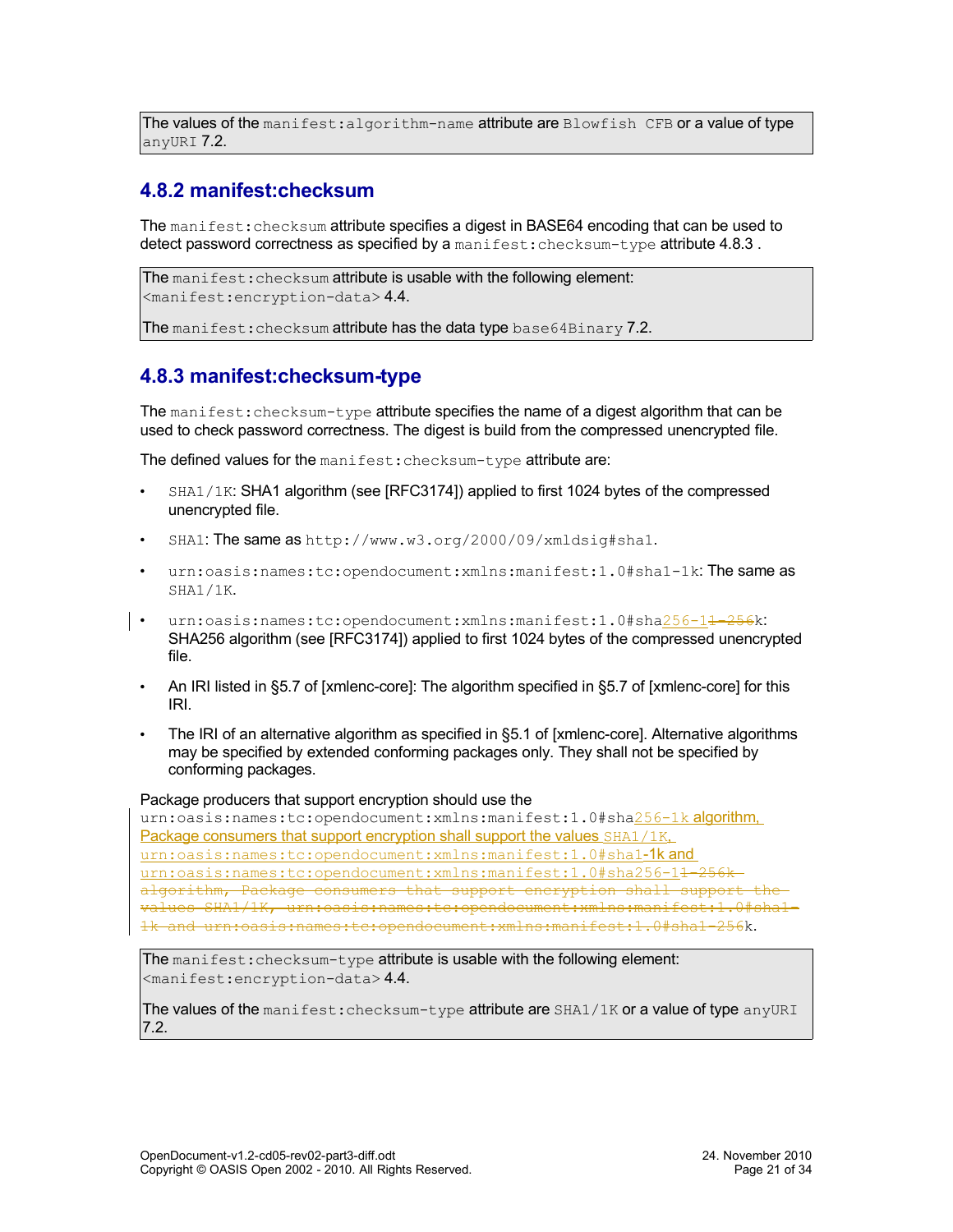The values of the manifest: algorithm-name attribute are  $B$ lowfish CFB or a value of type anyURI [7.2.](#page-30-5)

### <span id="page-20-1"></span>**4.8.2 manifest:checksum**

The manifest: checksum attribute specifies a digest in BASE64 encoding that can be used to detect password correctness as specified by a manifest: checksum-type attribute 4.8.3.

```
The manifest: checksum attribute is usable with the following element:
<manifest:encryption-data> 4.4.
```
The manifest: checksum attribute has the data type base64Binary [7.2.](#page-30-6)

### <span id="page-20-0"></span>**4.8.3 manifest:checksum-type**

The manifest: checksum-type attribute specifies the name of a digest algorithm that can be used to check password correctness. The digest is build from the compressed unencrypted file.

The defined values for the manifest: checksum-type attribute are:

- SHA1/1K: SHA1 algorithm (see [RFC3174]) applied to first 1024 bytes of the compressed unencrypted file.
- SHA1: The same as http://www.w3.org/2000/09/xmldsig#sha1.
- urn:oasis:names:tc:opendocument:xmlns:manifest:1.0#sha1-1k:The same as SHA1/1K.
- urn:oasis:names:tc:opendocument:xmlns:manifest:1.0#sha256-1<del>1-256</del>k: SHA256 algorithm (see [RFC3174]) applied to first 1024 bytes of the compressed unencrypted file.
	- An IRI listed in §5.7 of [xmlenc-core]: The algorithm specified in §5.7 of [xmlenc-core] for this IRI.
	- The IRI of an alternative algorithm as specified in §5.1 of [xmlenc-core]. Alternative algorithms may be specified by extended conforming packages only. They shall not be specified by conforming packages.

#### Package producers that support encryption should use the

urn:oasis:names:tc:opendocument:xmlns:manifest:1.0#sha256-1k algorithm, Package consumers that support encryption shall support the values SHA1/1K. urn:oasis:names:tc:opendocument:xmlns:manifest:1.0#sha1-1k and urn:oasis:names:tc:opendocument:xmlns:manifest:1.0#sha256-14-256kalgorithm, Package consumers that support encryption shall support values SHA1/1K, urn:oasis:names:tc:opendocument:xmlns:manifest:1.0#sha1- 1k and urn:oasis:names:tc:opendocument:xmlns:manifest:1.0#sha1-256k.

The manifest: checksum-type attribute is usable with the following element: <manifest:encryption-data> [4.4.](#page-17-0)

The values of the manifest: checksum-type attribute are SHA1/1K or a value of type anyURI [7.2.](#page-30-5)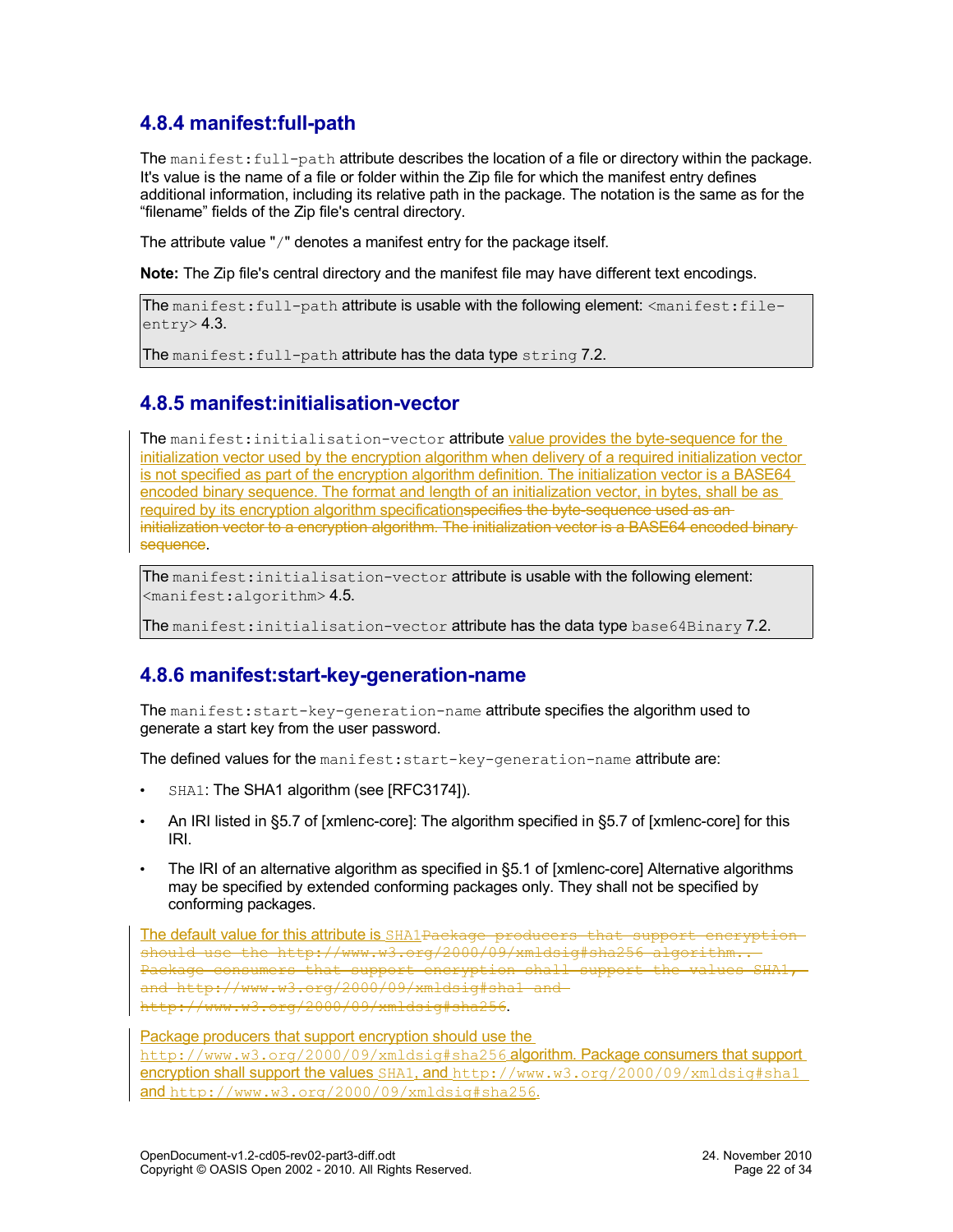### <span id="page-21-2"></span>**4.8.4 manifest:full-path**

The manifest: full-path attribute describes the location of a file or directory within the package. It's value is the name of a file or folder within the Zip file for which the manifest entry defines additional information, including its relative path in the package. The notation is the same as for the "filename" fields of the Zip file's central directory.

The attribute value "/" denotes a manifest entry for the package itself.

**Note:** The Zip file's central directory and the manifest file may have different text encodings.

```
The manifest:full-path attribute is usable with the following element: <manifest:file-
entry> 4.3.
```
The manifest: full-path attribute has the data type string [7.2.](#page-30-7)

#### <span id="page-21-1"></span>**4.8.5 manifest:initialisation-vector**

The manifest: initialisation-vector attribute value provides the byte-sequence for the initialization vector used by the encryption algorithm when delivery of a required initialization vector is not specified as part of the encryption algorithm definition. The initialization vector is a BASE64 encoded binary sequence. The format and length of an initialization vector, in bytes, shall be as required by its encryption algorithm specificationspecifies the byte-sequence used as aninitialization vector to a encryption algorithm. The initialization vector is a BASE64 encoded binarysequence.

The manifest: initialisation-vector attribute is usable with the following element: <manifest:algorithm> [4.5.](#page-18-1)

The manifest: initialisation-vector attribute has the data type base64Binary [7.2.](#page-30-6)

### <span id="page-21-0"></span>**4.8.6 manifest:start-key-generation-name**

The manifest:start-key-generation-name attribute specifies the algorithm used to generate a start key from the user password.

The defined values for the manifest: start-key-generation-name attribute are:

- SHA1: The SHA1 algorithm (see [RFC3174]).
- An IRI listed in §5.7 of [xmlenc-core]: The algorithm specified in §5.7 of [xmlenc-core] for this IRI.
- The IRI of an alternative algorithm as specified in §5.1 of [xmlenc-core] Alternative algorithms may be specified by extended conforming packages only. They shall not be specified by conforming packages.

The default value for this attribute is SHA1Package producers that support encryptionshould use the http://www.w3.org/2000/09/xmldsig#sha256 algorithm.. Package consumers that support encryption shall support the values SHA1, and http://www.w3.org/2000/09/xmldsig#sha1 and http://www.w3.org/2000/09/xmldsig#sha256.

Package producers that support encryption should use the http://www.w3.org/2000/09/xmldsig#sha256 algorithm. Package consumers that support encryption shall support the values SHA1, and http://www.w3.org/2000/09/xmldsig#sha1 and http://www.w3.org/2000/09/xmldsig#sha256.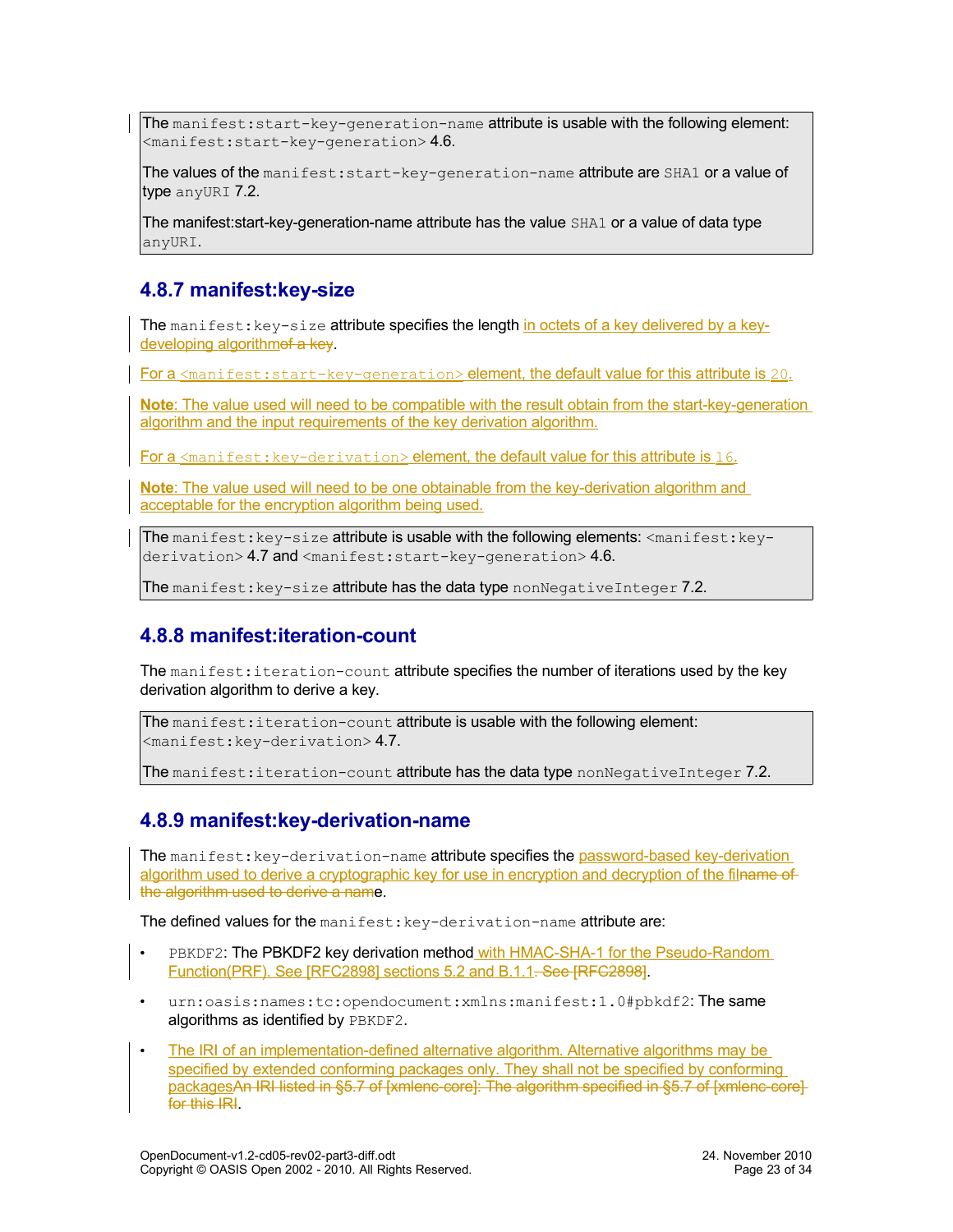The manifest:  $start-key-generation-name$  attribute is usable with the following element:  $<$ manifest:start-key-generation> [4.6.](#page-18-0)

The values of the manifest: start-key-generation-name attribute are SHA1 or a value of type anyURI [7.2.](#page-30-5)

The manifest:start-key-generation-name attribute has the value SHA1 or a value of data type anyURI.

#### <span id="page-22-2"></span>**4.8.7 manifest:key-size**

The manifest:  $key-size$  attribute specifies the length in octets of a key delivered by a keydeveloping algorithmof a key.

For a  $\epsilon$  and fest: start-key-generation> element, the default value for this attribute is 20.

**Note**: The value used will need to be compatible with the result obtain from the start-key-generation algorithm and the input requirements of the key derivation algorithm.

For a <manifest: key-derivation> element, the default value for this attribute is 16.

**Note**: The value used will need to be one obtainable from the key-derivation algorithm and acceptable for the encryption algorithm being used.

The manifest:  $key-size$  attribute is usable with the following elements:  $\langle$ manifest:  $key-$ derivation> [4.7](#page-19-0) and <manifest:start-key-generation> [4.6.](#page-18-0)

The manifest:  $key-size$  attribute has the data type nonNegativeInteger [7.2.](#page-30-8)

#### <span id="page-22-1"></span>**4.8.8 manifest:iteration-count**

The manifest: iteration-count attribute specifies the number of iterations used by the key derivation algorithm to derive a key.

The manifest: iteration-count attribute is usable with the following element:  $<$ manifest:key-derivation $> 4.7$ .

The manifest: iteration-count attribute has the data type nonNegativeInteger [7.2.](#page-30-8)

#### <span id="page-22-0"></span>**4.8.9 manifest:key-derivation-name**

The manifest: key-derivation-name attribute specifies the password-based key-derivation algorithm used to derive a cryptographic key for use in encryption and decryption of the filname of the algorithm used to derive a name.

The defined values for the manifest: key-derivation-name attribute are:

- PBKDF2: The PBKDF2 key derivation method with HMAC-SHA-1 for the Pseudo-Random Function(PRF). See [RFC2898] sections 5.2 and B.1.1. See [RFC2898].
- urn:oasis:names:tc:opendocument:xmlns:manifest:1.0#pbkdf2:The same algorithms as identified by PBKDF2.
- The IRI of an implementation-defined alternative algorithm. Alternative algorithms may be specified by extended conforming packages only. They shall not be specified by conforming packagesAn IRI listed in §5.7 of [xmlenc-core]: The algorithm specified in §5.7 of [xmlenc-core] for this **IRI**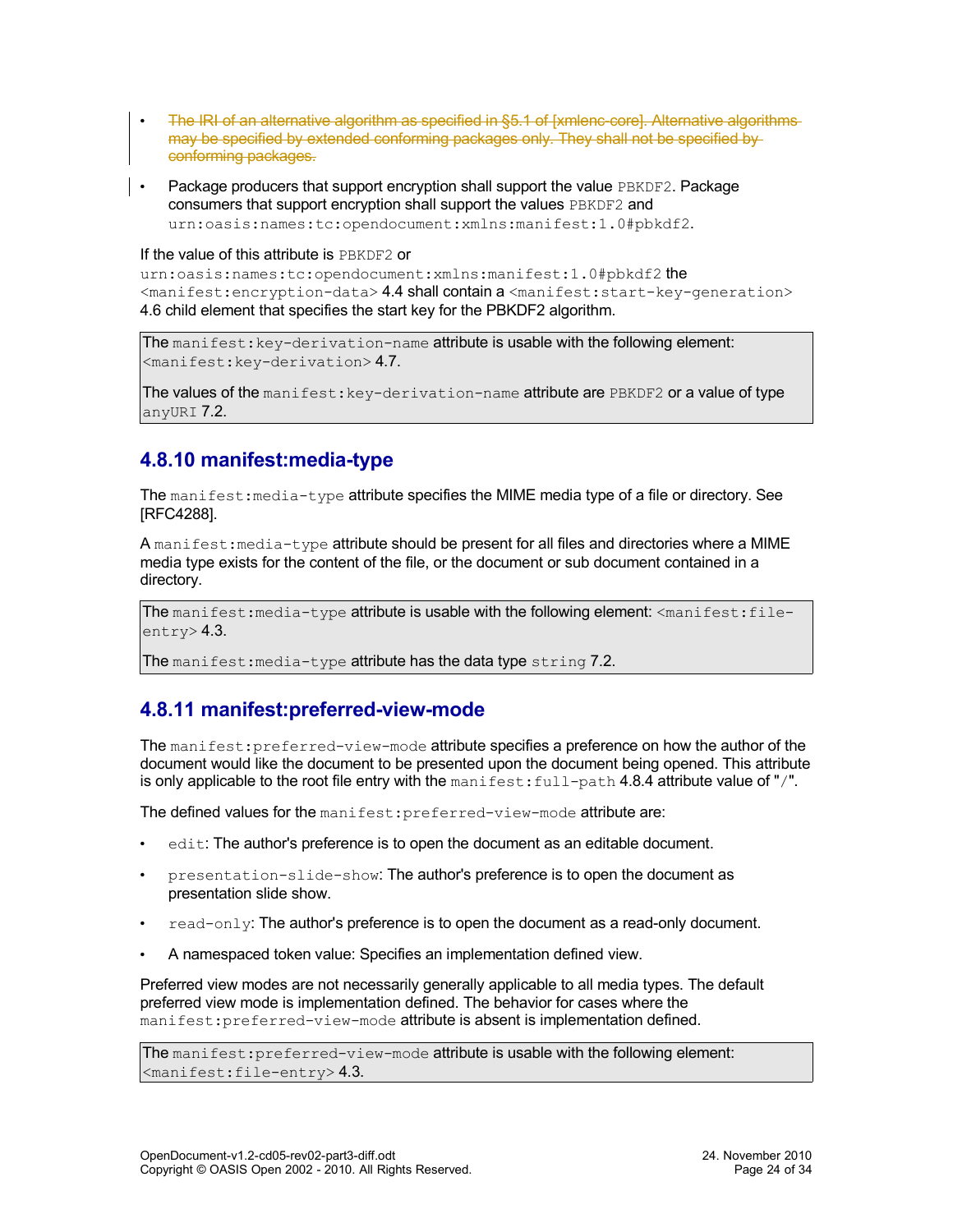- The IRI of an alternative algorithm as specified in §5.1 of [xmlenc-core]. Alternative algorithms may be specified by extended conforming packages only. They shall not be specified by conforming packages.
- Package producers that support encryption shall support the value PBKDF2. Package consumers that support encryption shall support the values PBKDF2 and urn:oasis:names:tc:opendocument:xmlns:manifest:1.0#pbkdf2.

#### If the value of this attribute is PBKDF2 or

urn:oasis:names:tc:opendocument:xmlns:manifest:1.0#pbkdf2 the <manifest:encryption-data> [4.4](#page-17-0) shall contain a <manifest:start-key-generation> [4.6](#page-18-0) child element that specifies the start key for the PBKDF2 algorithm.

The manifest: key-derivation-name attribute is usable with the following element: <manifest:key-derivation> [4.7.](#page-19-0)

The values of the manifest:  $key$ -derivation-name attribute are  $PBE$ DF2 or a value of type anyURI [7.2.](#page-30-5)

### <span id="page-23-1"></span>**4.8.10 manifest:media-type**

The manifest: media-type attribute specifies the MIME media type of a file or directory. See [RFC4288].

A manifest: media-type attribute should be present for all files and directories where a MIME media type exists for the content of the file, or the document or sub document contained in a directory.

The manifest: media-type attribute is usable with the following element:  $\zeta$  manifest: fileentry> [4.3.](#page-17-1)

The manifest: media-type attribute has the data type string [7.2.](#page-30-7)

#### <span id="page-23-0"></span>**4.8.11 manifest:preferred-view-mode**

The manifest: preferred-view-mode attribute specifies a preference on how the author of the document would like the document to be presented upon the document being opened. This attribute is only applicable to the root file entry with the manifest:  $full-path 4.8.4$  attribute value of "/".

The defined values for the manifest: preferred-view-mode attribute are:

- edit: The author's preference is to open the document as an editable document.
- presentation-slide-show: The author's preference is to open the document as presentation slide show.
- $read-only$ : The author's preference is to open the document as a read-only document.
- A namespaced token value: Specifies an implementation defined view.

Preferred view modes are not necessarily generally applicable to all media types. The default preferred view mode is implementation defined. The behavior for cases where the manifest: preferred-view-mode attribute is absent is implementation defined.

The manifest: preferred-view-mode attribute is usable with the following element: <manifest:file-entry> [4.3.](#page-17-1)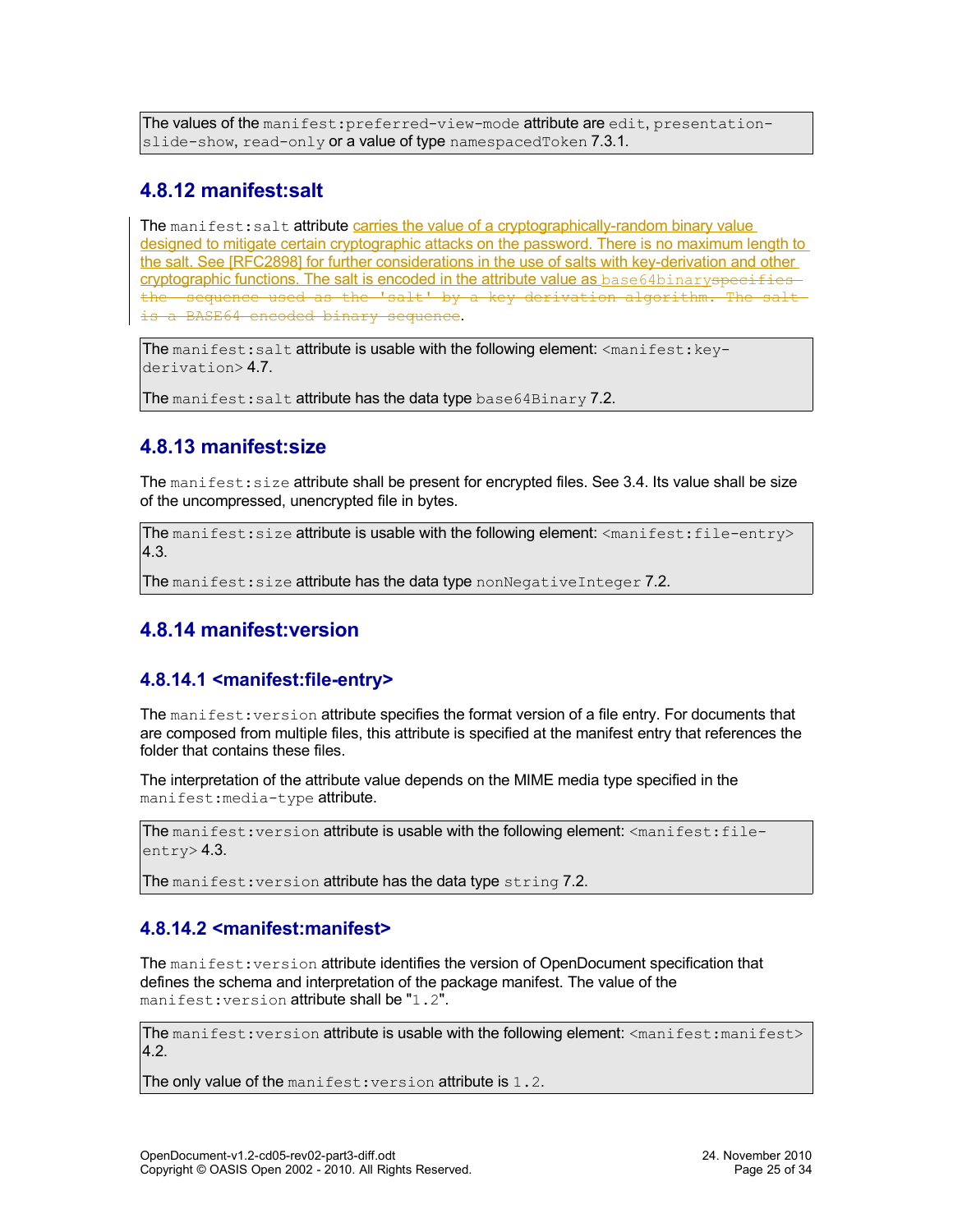The values of the manifest: preferred-view-mode attribute are edit, presentation-slide-show, read-only or a value of type namespacedToken [7.3.1.](#page-30-0)

#### <span id="page-24-2"></span>**4.8.12 manifest:salt**

The manifest: salt attribute carries the value of a cryptographically-random binary value designed to mitigate certain cryptographic attacks on the password. There is no maximum length to the salt. See [RFC2898] for further considerations in the use of salts with key-derivation and other cryptographic functions. The salt is encoded in the attribute value as base64binaryspecifies the sequence used as the 'salt' by a key derivation algorithm. The salt is a BASE64 encoded binary sequence.

The manifest: salt attribute is usable with the following element:  $\langle$ manifest:  $key-$ derivation> [4.7.](#page-19-0)

The manifest: salt attribute has the data type base  $64 \text{Binary } 7.2$ .

### <span id="page-24-1"></span>**4.8.13 manifest:size**

The manifest: size attribute shall be present for encrypted files. See [3.4.](#page-12-2) Its value shall be size of the uncompressed, unencrypted file in bytes.

The manifest: size attribute is usable with the following element: <manifest: file-entry> [4.3.](#page-17-1)

The manifest: size attribute has the data type nonNegativeInteger [7.2.](#page-30-8)

### <span id="page-24-0"></span>**4.8.14 manifest:version**

#### <span id="page-24-3"></span>**4.8.14.1 <manifest:file-entry>**

The manifest: version attribute specifies the format version of a file entry. For documents that are composed from multiple files, this attribute is specified at the manifest entry that references the folder that contains these files.

The interpretation of the attribute value depends on the MIME media type specified in the manifest:media-type attribute.

The manifest: version attribute is usable with the following element: <manifest:fileentry> [4.3.](#page-17-1)

The manifest: version attribute has the data type string [7.2.](#page-30-7)

#### <span id="page-24-4"></span>**4.8.14.2 <manifest:manifest>**

The manifest: version attribute identifies the version of OpenDocument specification that defines the schema and interpretation of the package manifest. The value of the manifest: version attribute shall be "1.2".

The manifest: version attribute is usable with the following element: <manifest:manifest> [4.2.](#page-17-2)

The only value of the manifest: version attribute is 1.2.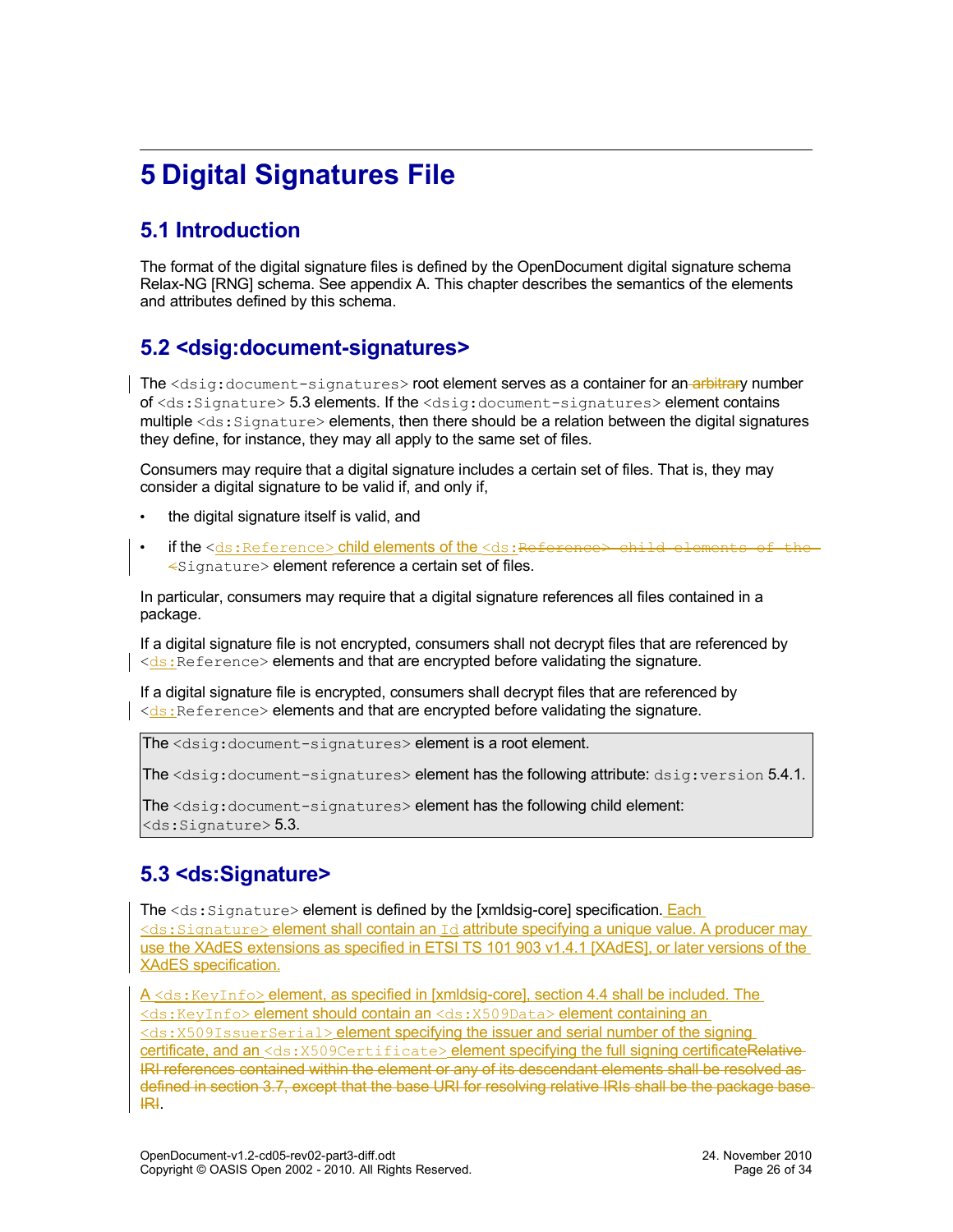# <span id="page-25-3"></span>**5 Digital Signatures File**

## <span id="page-25-2"></span>**5.1 Introduction**

The format of the digital signature files is defined by the OpenDocument digital signature schema Relax-NG [RNG] schema. See appendix A. This chapter describes the semantics of the elements and attributes defined by this schema.

### <span id="page-25-1"></span>**5.2 <dsig:document-signatures>**

The <dsig:document-signatures> root element serves as a container for an-arbitrary number of <ds:Signature> [5.3](#page-25-0) elements. If the <dsig:document-signatures> element contains multiple  $\langle ds:Signature\rangle$  elements, then there should be a relation between the digital signatures they define, for instance, they may all apply to the same set of files.

Consumers may require that a digital signature includes a certain set of files. That is, they may consider a digital signature to be valid if, and only if,

- the digital signature itself is valid, and
- if the <ds:Reference> child elements of the <ds:Reference> child elements of the <Signature> element reference a certain set of files.

In particular, consumers may require that a digital signature references all files contained in a package.

If a digital signature file is not encrypted, consumers shall not decrypt files that are referenced by  $\vert \langle ds : \vert \rangle$  Reference > elements and that are encrypted before validating the signature.

If a digital signature file is encrypted, consumers shall decrypt files that are referenced by  $\le$ ds: Reference> elements and that are encrypted before validating the signature.

The <dsig:document-signatures> element is a root element.

The <dsig:document-signatures> element has the following attribute: dsig:version [5.4.1.](#page-27-0)

The <dsig:document-signatures> element has the following child element:  $<$ ds: Signature $>$  [5.3.](#page-25-0)

### <span id="page-25-0"></span>**5.3 <ds:Signature>**

The <ds: Signature> element is defined by the [xmldsig-core] specification. Each <ds:Signature> element shall contain an Id attribute specifying a unique value. A producer may use the XAdES extensions as specified in ETSI TS 101 903 v1.4.1 [XAdES], or later versions of the XAdES specification.

A <ds: KeyInfo> element, as specified in [xmldsig-core], section 4.4 shall be included. The <ds:KeyInfo> element should contain an <ds:X509Data> element containing an <ds:X509IssuerSerial> element specifying the issuer and serial number of the signing certificate, and an <ds: X509Certificate> element specifying the full signing certificateRelative-IRI references contained within the element or any of its descendant elements shall be resolved as defined in section [3.7,](#page-13-0) except that the base URI for resolving relative IRIs shall be the package base IRI.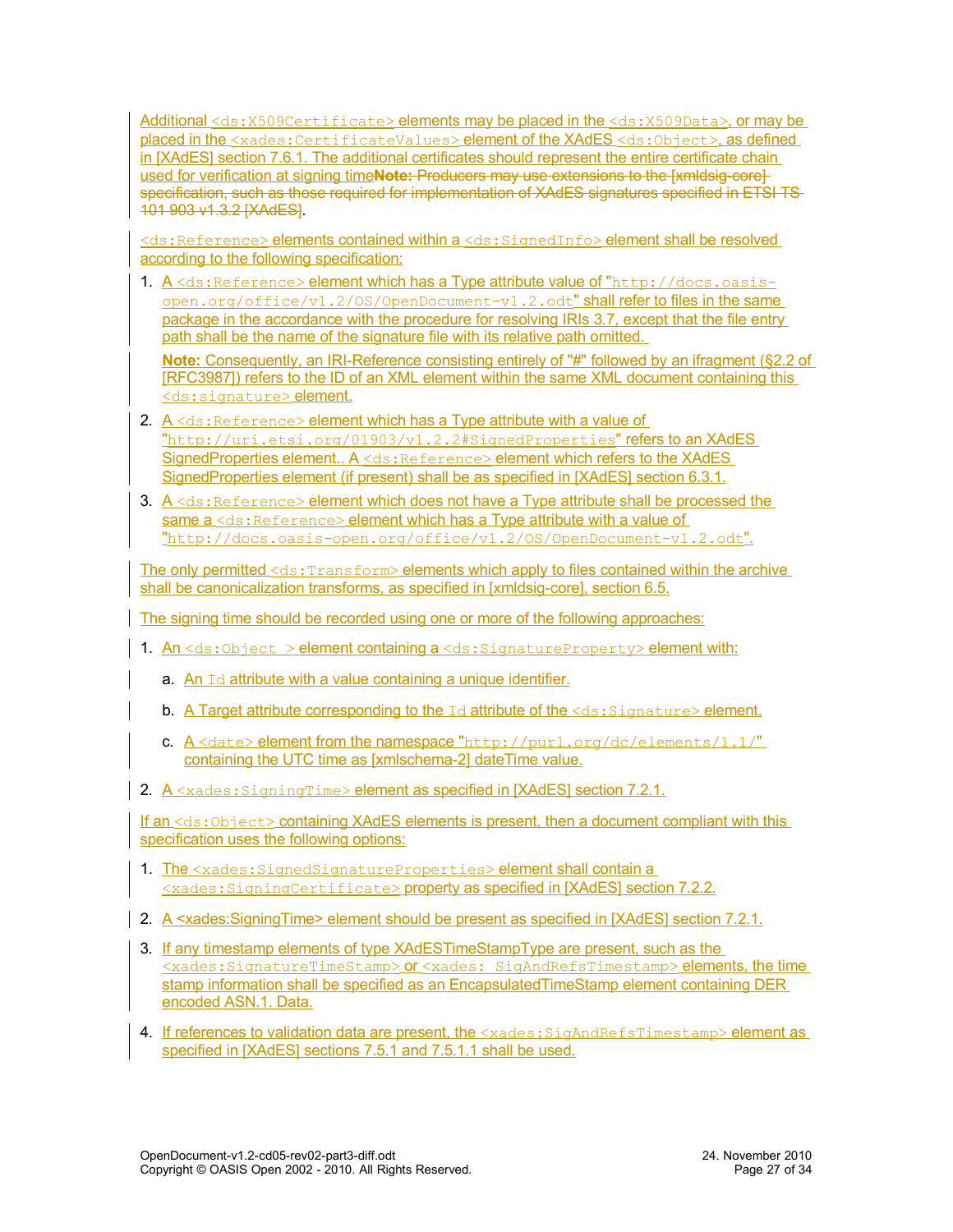Additional <ds:X509Certificate> elements may be placed in the <ds:X509Data>, or may be placed in the <xades:CertificateValues>element of the XAdES <ds:Object>, as defined in [XAdES] section 7.6.1. The additional certificates should represent the entire certificate chain used for verification at signing time**Note:** Producers may use extensions to the [xmldsig-core] specification, such as those required for implementation of XAdES signatures specified in ETSI TS-101 903 v1.3.2 [XAdES].

<ds:Reference> elements contained within a <ds:SignedInfo> element shall be resolved according to the following specification:

1. A <ds:Reference> element which has a Type attribute value of "http://docs.oasisopen.org/office/v1.2/OS/OpenDocument-v1.2.odt" shall refer to files in the same package in the accordance with the procedure for resolving IRIs [3.7,](#page-13-0) except that the file entry path shall be the name of the signature file with its relative path omitted.

**Note:** Consequently, an IRI-Reference consisting entirely of "#" followed by an ifragment (§2.2 of [RFC3987]) refers to the ID of an XML element within the same XML document containing this <ds: signature> element.

- 2.  $A \le ds$ : Reference> element which has a Type attribute with a value of "http://uri.etsi.org/01903/v1.2.2#SignedProperties" refers to an XAdES SignedProperties element.. A <ds:Reference> element which refers to the XAdES SignedProperties element (if present) shall be as specified in [XAdES] section 6.3.1.
- 3.  $A \leq ds$ : Reference> element which does not have a Type attribute shall be processed the same a <ds: Reference> element which has a Type attribute with a value of "http://docs.oasis-open.org/office/v1.2/OS/OpenDocument-v1.2.odt".

The only permitted <ds: Transform> elements which apply to files contained within the archive shall be canonicalization transforms, as specified in [xmldsig-core], section 6.5.

The signing time should be recorded using one or more of the following approaches:

- 1. An  $\leq$ ds:Object > element containing a  $\leq$ ds:SignatureProperty> element with:
	- a. An  $Id$  attribute with a value containing a unique identifier.
	- b. A Target attribute corresponding to the  $Id$  attribute of the  $\leq ds$ : Signature> element.
	- c.  $A \leq$ date> element from the namespace "http://purl.org/dc/elements/1.1/" containing the UTC time as [xmlschema-2] dateTime value.
- 2. A <xades: SigningTime> element as specified in [XAdES] section 7.2.1.

If an <ds: Object> containing XAdES elements is present, then a document compliant with this specification uses the following options:

- 1. The <xades: SignedSignatureProperties> element shall contain a <xades:SigningCertificate> property as specified in [XAdES] section 7.2.2.
- 2. A <xades: Signing Time> element should be present as specified in [XAdES] section 7.2.1.
- 3. If any timestamp elements of type XAdESTimeStampType are present, such as the <xades:SignatureTimeStamp> or <xades: SigAndRefsTimestamp> elements, the time stamp information shall be specified as an Encapsulated TimeStamp element containing DER encoded ASN.1. Data.
- 4. If references to validation data are present, the <xades: SigAndRefsTimestamp> element as specified in [XAdES] sections 7.5.1 and 7.5.1.1 shall be used.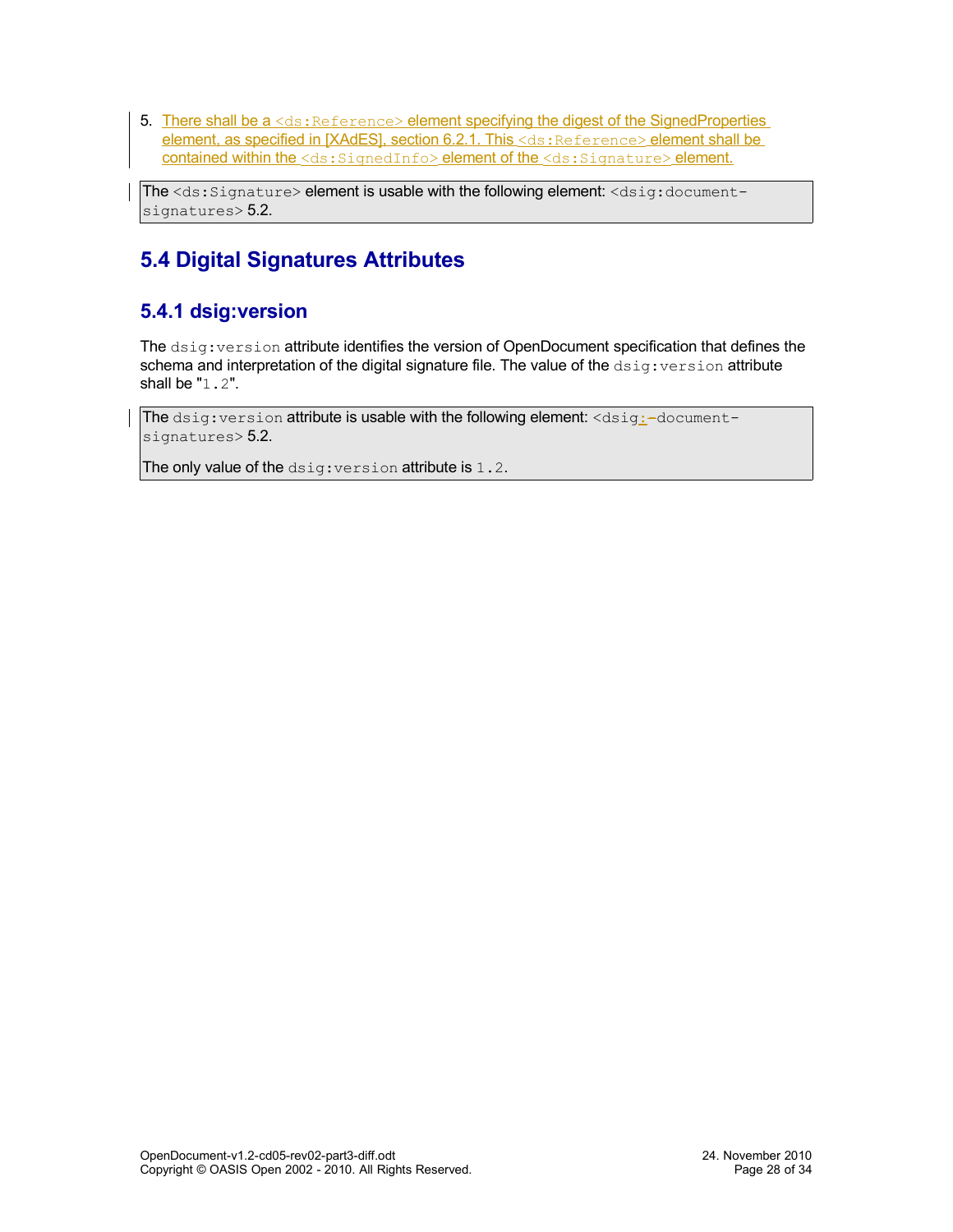5. There shall be a <ds: Reference> element specifying the digest of the SignedProperties element, as specified in [XAdES], section 6.2.1. This <ds: Reference> element shall be contained within the <ds: SignedInfo> element of the <ds: Signature> element.

The <ds:Signature> element is usable with the following element: <dsig:document-signatures> [5.2.](#page-25-1)

## <span id="page-27-1"></span>**5.4 Digital Signatures Attributes**

### <span id="page-27-0"></span>**5.4.1 dsig:version**

The dsig:version attribute identifies the version of OpenDocument specification that defines the schema and interpretation of the digital signature file. The value of the  $dsig:version$  attribute shall be "1.2".

The  $disig:version$  attribute is usable with the following element:  $$ signatures> [5.2.](#page-25-1)

The only value of the dsig: version attribute is 1.2.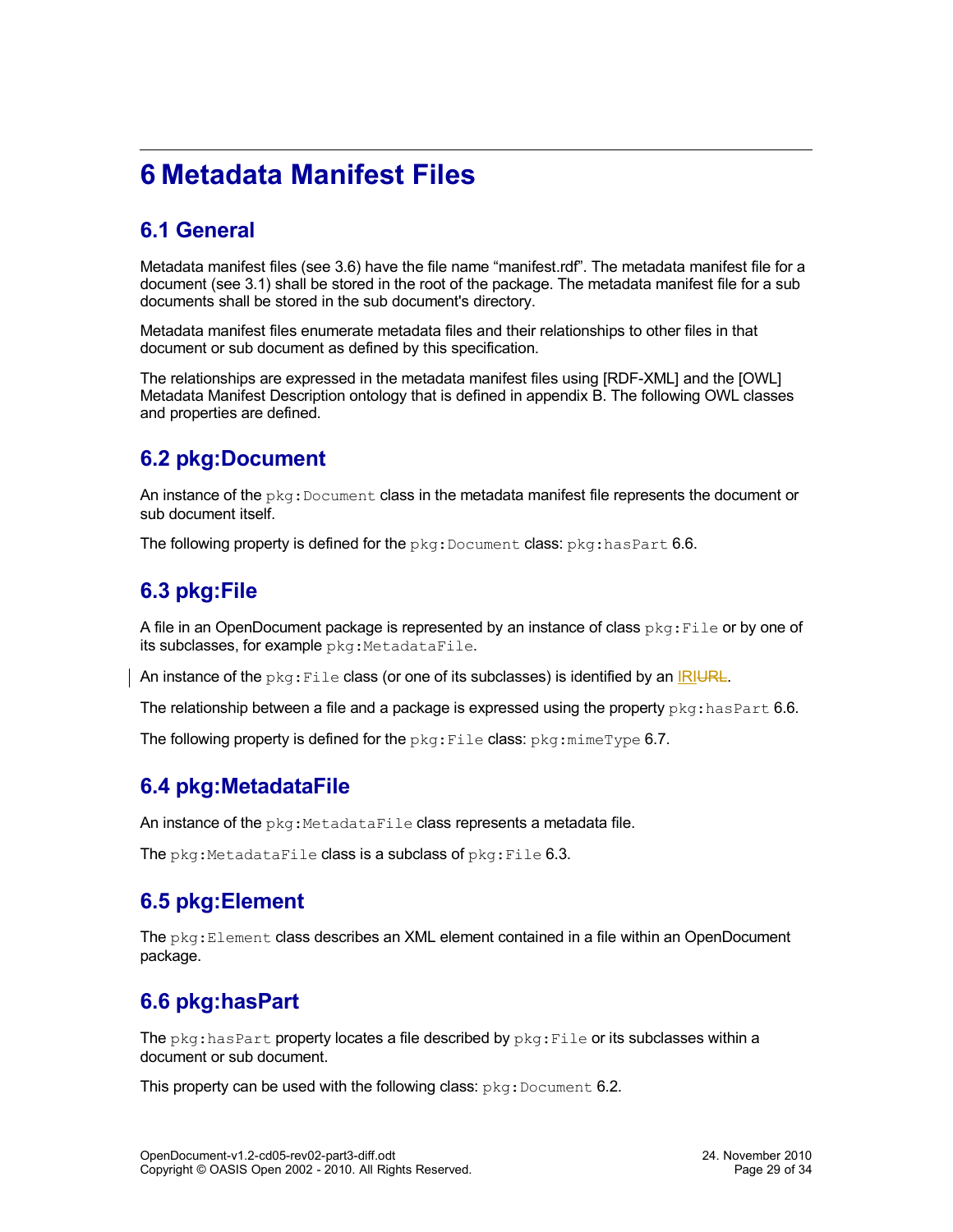# <span id="page-28-6"></span>**6 Metadata Manifest Files**

## <span id="page-28-5"></span>**6.1 General**

Metadata manifest files (see [3.6\)](#page-13-1) have the file name "manifest.rdf". The metadata manifest file for a document (see [3.1\)](#page-11-2) shall be stored in the root of the package. The metadata manifest file for a sub documents shall be stored in the sub document's directory.

Metadata manifest files enumerate metadata files and their relationships to other files in that document or sub document as defined by this specification.

The relationships are expressed in the metadata manifest files using [RDF-XML] and the [OWL] Metadata Manifest Description ontology that is defined in appendix B. The following OWL classes and properties are defined.

### <span id="page-28-4"></span>**6.2 pkg:Document**

An instance of the  $pkg:Document$  class in the metadata manifest file represents the document or sub document itself.

The following property is defined for the  $pkq:Document$  class:  $pkq:hasPart 6.6$ .

### <span id="page-28-3"></span>**6.3 pkg:File**

A file in an OpenDocument package is represented by an instance of class  $pkq:File$  or by one of its subclasses, for example pkg: MetadataFile.

An instance of the  $pkg$ : File class (or one of its subclasses) is identified by an IRIURL.

The relationship between a file and a package is expressed using the property  $pkg:hasPart 6.6$ .

The following property is defined for the  $pkg$ : File class:  $pkg$ :  $min$  $ype$  [6.7.](#page-29-0)

### <span id="page-28-2"></span>**6.4 pkg:MetadataFile**

An instance of the  $pkq$ : MetadataFile class represents a metadata file.

The  $pkq$ :MetadataFile class is a subclass of  $pkq$ :File [6.3.](#page-28-3)

### <span id="page-28-1"></span>**6.5 pkg:Element**

The  $pkq:Element$  class describes an XML element contained in a file within an OpenDocument package.

### <span id="page-28-0"></span>**6.6 pkg:hasPart**

The  $pkq:hasPart$  property locates a file described by  $pkq:File$  or its subclasses within a document or sub document.

This property can be used with the following class:  $pkg:Document 6.2$ .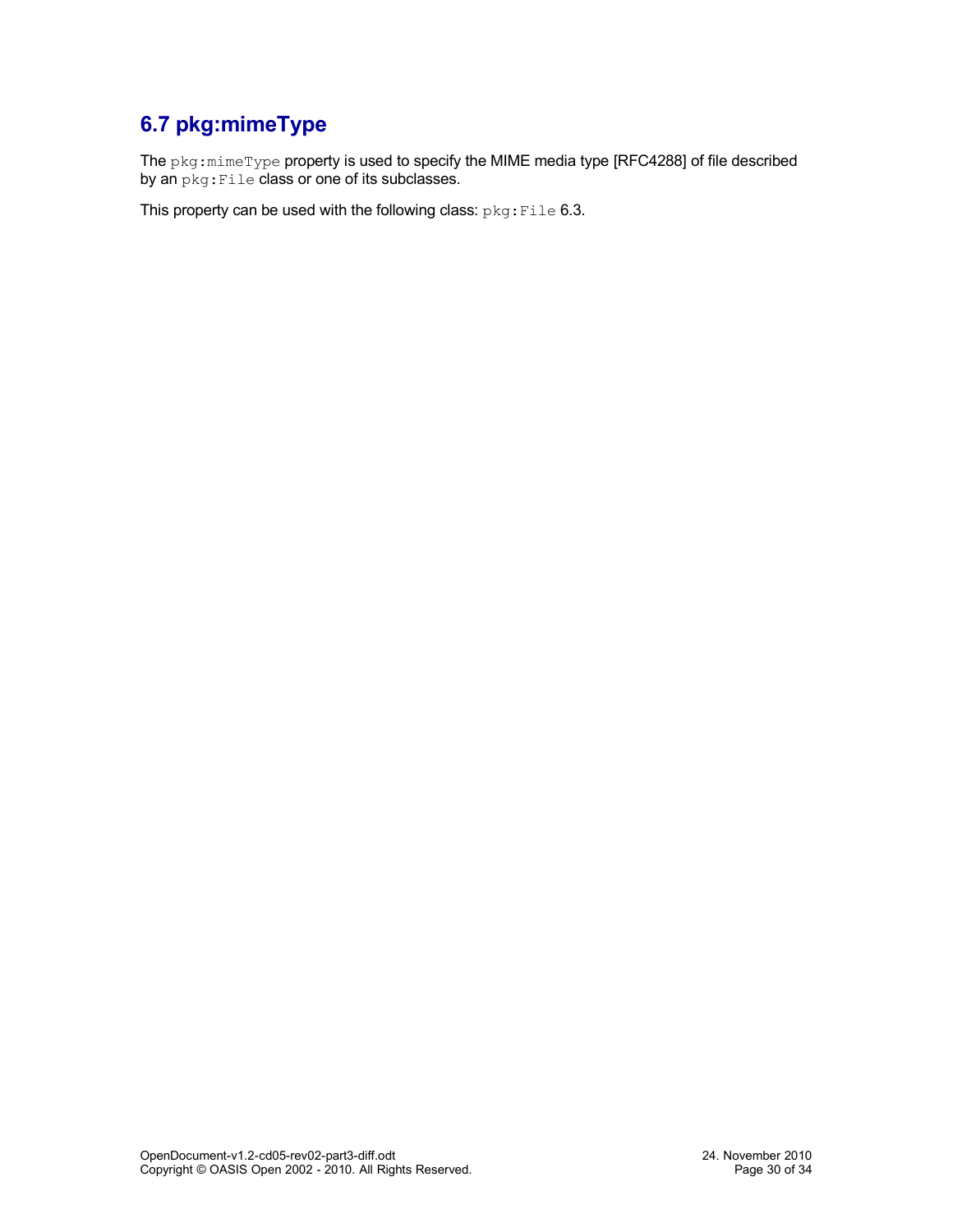## <span id="page-29-0"></span>**6.7 pkg:mimeType**

The pkg:mimeType property is used to specify the MIME media type [RFC4288] of file described by an  $pkg:File$  class or one of its subclasses.

This property can be used with the following class: pkg: File [6.3.](#page-28-3)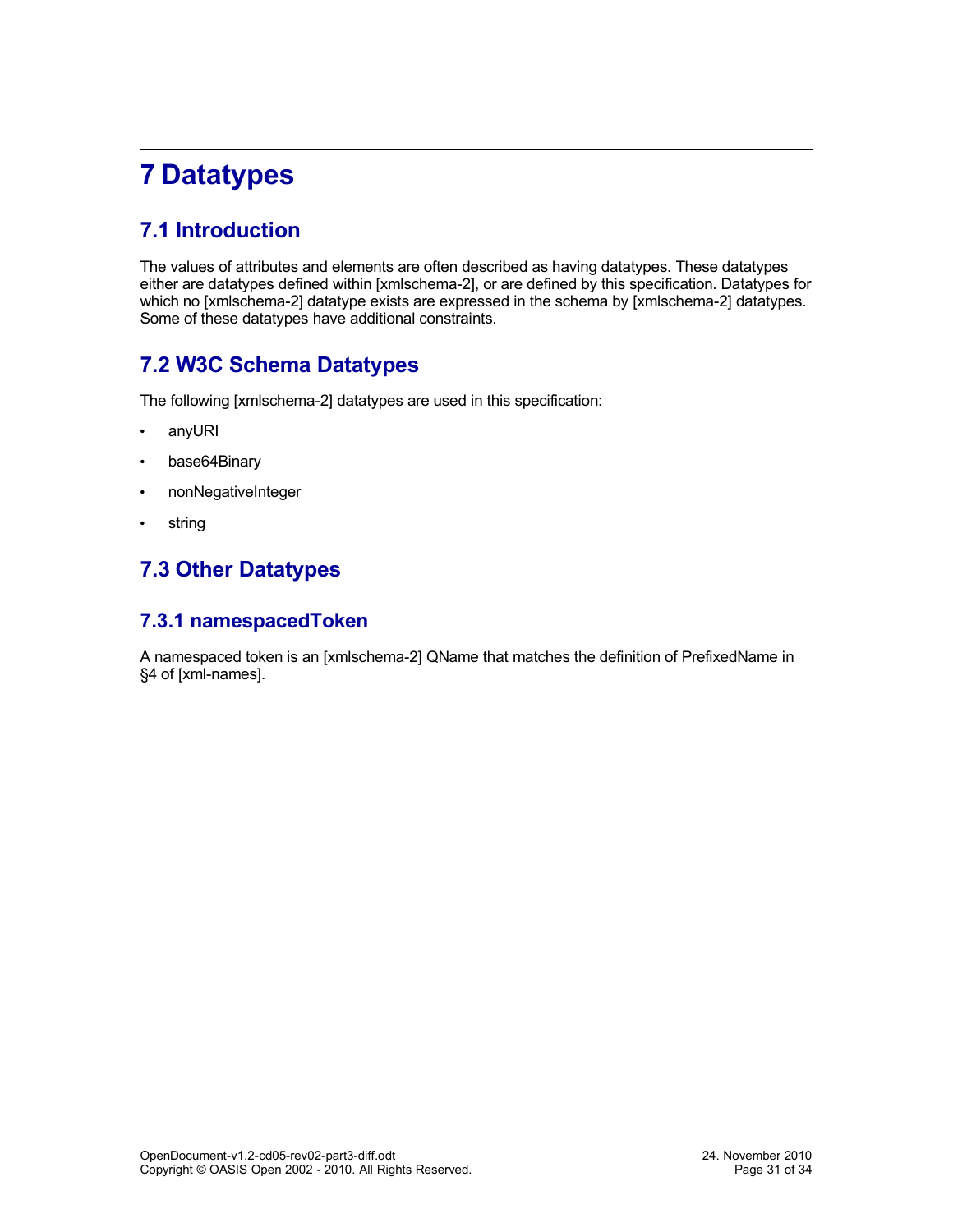# <span id="page-30-4"></span>**7 Datatypes**

## <span id="page-30-3"></span>**7.1 Introduction**

The values of attributes and elements are often described as having datatypes. These datatypes either are datatypes defined within [xmlschema-2], or are defined by this specification. Datatypes for which no [xmlschema-2] datatype exists are expressed in the schema by [xmlschema-2] datatypes. Some of these datatypes have additional constraints.

### <span id="page-30-2"></span>**7.2 W3C Schema Datatypes**

The following [xmlschema-2] datatypes are used in this specification:

- <span id="page-30-5"></span>• anyURI
- <span id="page-30-6"></span>• base64Binary
- <span id="page-30-8"></span>• nonNegativeInteger
- <span id="page-30-7"></span>• string

## <span id="page-30-1"></span>**7.3 Other Datatypes**

#### <span id="page-30-0"></span>**7.3.1 namespacedToken**

A namespaced token is an [xmlschema-2] QName that matches the definition of PrefixedName in §4 of [xml-names].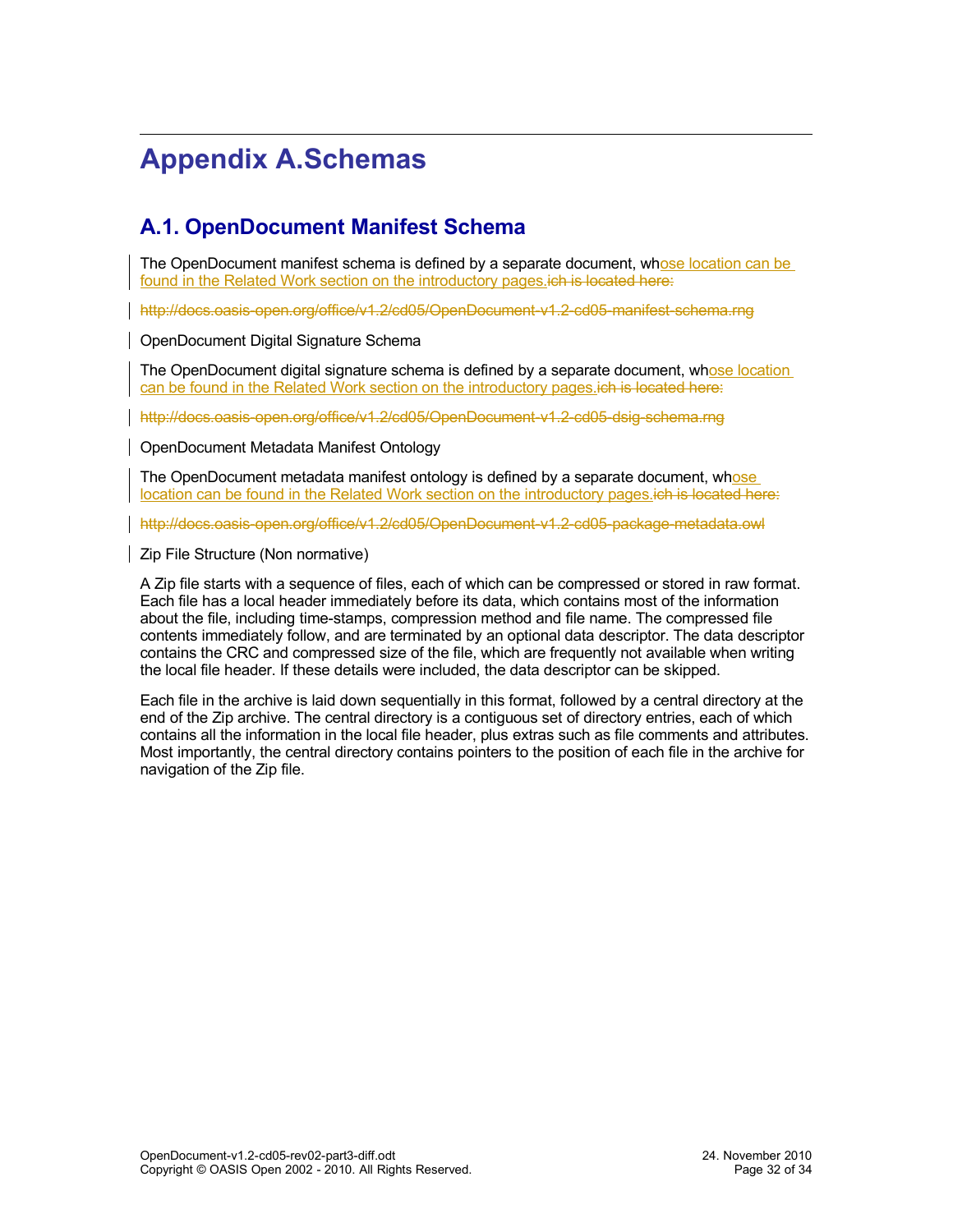# <span id="page-31-2"></span>**Appendix A.Schemas**

### <span id="page-31-1"></span>**A.1. OpenDocument Manifest Schema**

The OpenDocument manifest schema is defined by a separate document, whose location can be found in the [Related Work](#page-1-0) section on the introductory pages ich is located here:

<http://docs.oasis-open.org/office/v1.2/cd05/OpenDocument-v1.2-cd05-manifest-schema.rng>

<span id="page-31-0"></span>OpenDocument Digital Signature Schema

The OpenDocument digital signature schema is defined by a separate document, whose location can be found in the [Related Work](#page-1-0) section on the introductory pages.ich is located here:

<http://docs.oasis-open.org/office/v1.2/cd05/OpenDocument-v1.2-cd05-dsig-schema.rng>

<span id="page-31-4"></span>OpenDocument Metadata Manifest Ontology

The OpenDocument metadata manifest ontology is defined by a separate document, whose location can be found in the [Related Work](#page-1-0) section on the introductory pages.ich is located here:

<http://docs.oasis-open.org/office/v1.2/cd05/OpenDocument-v1.2-cd05-package-metadata.owl>

<span id="page-31-3"></span>Zip File Structure (Non normative)

A Zip file starts with a sequence of files, each of which can be compressed or stored in raw format. Each file has a local header immediately before its data, which contains most of the information about the file, including time-stamps, compression method and file name. The compressed file contents immediately follow, and are terminated by an optional data descriptor. The data descriptor contains the CRC and compressed size of the file, which are frequently not available when writing the local file header. If these details were included, the data descriptor can be skipped.

Each file in the archive is laid down sequentially in this format, followed by a central directory at the end of the Zip archive. The central directory is a contiguous set of directory entries, each of which contains all the information in the local file header, plus extras such as file comments and attributes. Most importantly, the central directory contains pointers to the position of each file in the archive for navigation of the Zip file.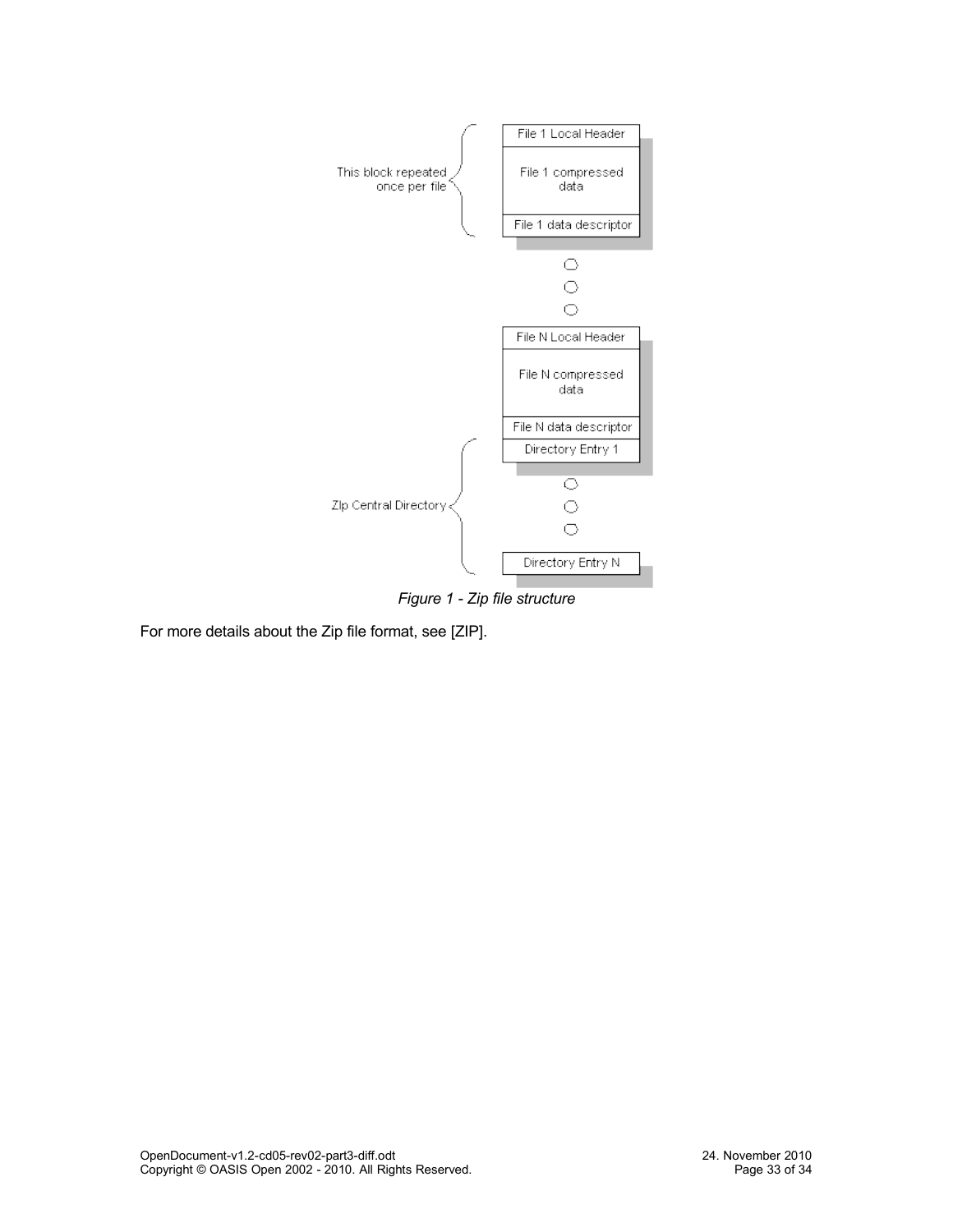

*Figure 1 - Zip file structure*

For more details about the Zip file format, see [ZIP].